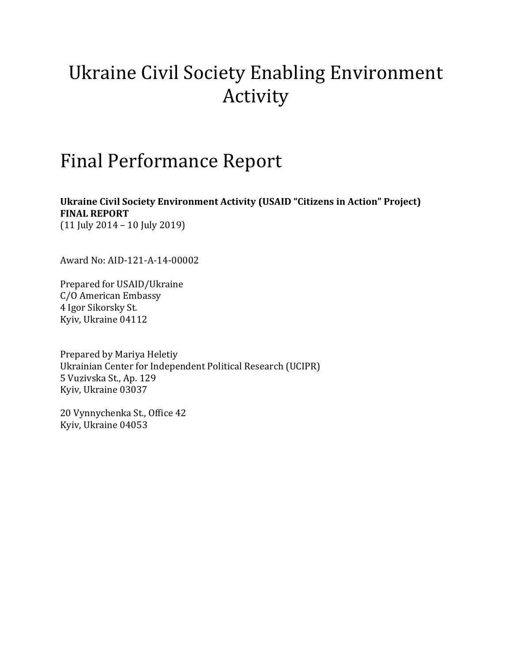# Ukraine Civil Society Enabling Environment Activity

# Final Performance Report

**Ukraine Civil Society Environment Activity (USAID "Citizens in Action" Project) FINAL REPORT**

(11 July 2014 – 10 July 2019)

Award No: AID-121-A-14-00002

Prepared for USAID/Ukraine C/O American Embassy 4 Igor Sikorsky St. Kyiv, Ukraine 04112

Prepared by Mariya Heletiy Ukrainian Center for Independent Political Research (UCIPR) 5 Vuzivska St., Ap. 129 Kyiv, Ukraine 03037

20 Vynnychenka St., Office 42 Kyiv, Ukraine 04053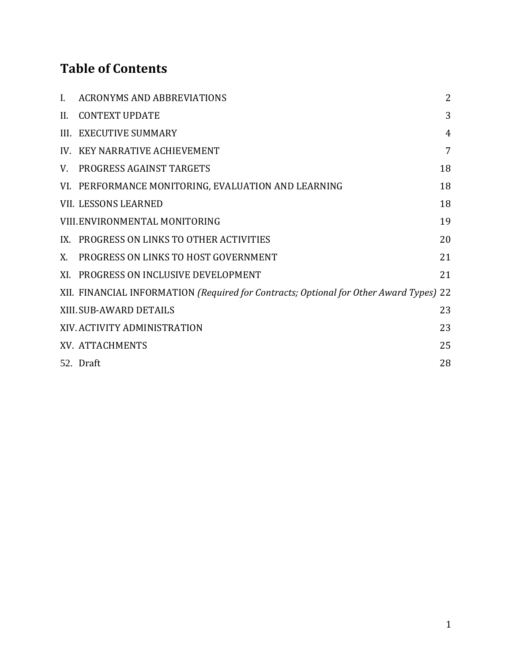# **Table of Contents**

| L.  | <b>ACRONYMS AND ABBREVIATIONS</b>                                                      | $\overline{2}$ |
|-----|----------------------------------------------------------------------------------------|----------------|
| II. | <b>CONTEXT UPDATE</b>                                                                  | 3              |
|     | III. EXECUTIVE SUMMARY                                                                 | $\overline{4}$ |
|     | IV. KEY NARRATIVE ACHIEVEMENT                                                          | 7              |
| V.  | <b>PROGRESS AGAINST TARGETS</b>                                                        | 18             |
|     | VI. PERFORMANCE MONITORING, EVALUATION AND LEARNING                                    | 18             |
|     | <b>VII. LESSONS LEARNED</b>                                                            | 18             |
|     | VIII.ENVIRONMENTAL MONITORING                                                          | 19             |
|     | IX. PROGRESS ON LINKS TO OTHER ACTIVITIES                                              | 20             |
| X.  | PROGRESS ON LINKS TO HOST GOVERNMENT                                                   | 21             |
|     | XI. PROGRESS ON INCLUSIVE DEVELOPMENT                                                  | 21             |
|     | XII. FINANCIAL INFORMATION (Required for Contracts; Optional for Other Award Types) 22 |                |
|     | XIII.SUB-AWARD DETAILS                                                                 | 23             |
|     | XIV. ACTIVITY ADMINISTRATION                                                           | 23             |
|     | XV. ATTACHMENTS                                                                        | 25             |
|     | 52. Draft                                                                              | 28             |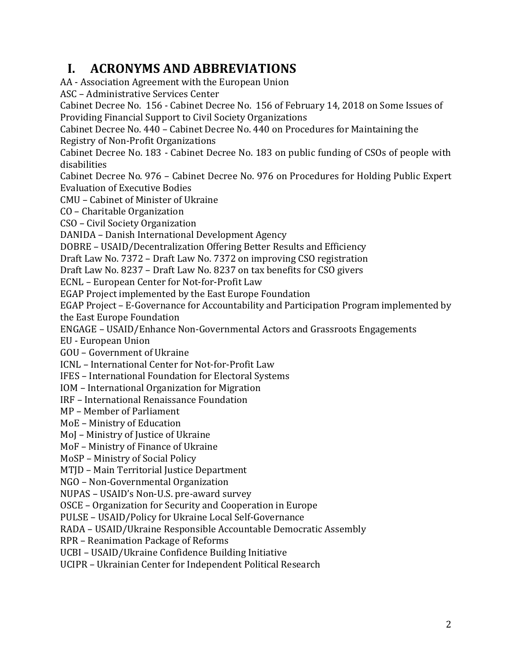# <span id="page-2-0"></span>**I. ACRONYMS AND ABBREVIATIONS**

AA - Association Agreement with the European Union

ASC – Administrative Services Center

Cabinet Decree No. 156 - Cabinet Decree No. 156 of February 14, 2018 on Some Issues of Providing Financial Support to Civil Society Organizations

Cabinet Decree No. 440 – Cabinet Decree No. 440 on Procedures for Maintaining the Registry of Non-Profit Organizations

Cabinet Decree No. 183 - Cabinet Decree No. 183 on public funding of CSOs of people with disabilities

Cabinet Decree No. 976 – Cabinet Decree No. 976 on Procedures for Holding Public Expert Evaluation of Executive Bodies

CMU – Cabinet of Minister of Ukraine

CO – Charitable Organization

CSO – Civil Society Organization

DANIDA – Danish International Development Agency

DOBRE – USAID/Decentralization Offering Better Results and Efficiency

Draft Law No. 7372 – Draft Law No. 7372 on improving CSO registration

Draft Law No. 8237 – Draft Law No. 8237 on tax benefits for CSO givers

ECNL – European Center for Not-for-Profit Law

EGAP Project implemented by the East Europe Foundation

EGAP Project – E-Governance for Accountability and Participation Program implemented by the East Europe Foundation

ENGAGE – USAID/Enhance Non-Governmental Actors and Grassroots Engagements

EU - European Union

GOU – Government of Ukraine

ICNL – International Center for Not-for-Profit Law

IFES – International Foundation for Electoral Systems

IOM – International Organization for Migration

IRF – International Renaissance Foundation

MP – Member of Parliament

MoE – Ministry of Education

MoJ – Ministry of Justice of Ukraine

MoF – Ministry of Finance of Ukraine

MoSP – Ministry of Social Policy

MTID – Main Territorial Justice Department

NGO – Non-Governmental Organization

NUPAS – USAID's Non-U.S. pre-award survey

OSCE – Organization for Security and Cooperation in Europe

PULSE – USAID/Policy for Ukraine Local Self-Governance

RADA – USAID/Ukraine Responsible Accountable Democratic Assembly

RPR – Reanimation Package of Reforms

UCBI – USAID/Ukraine Confidence Building Initiative

UCIPR – Ukrainian Center for Independent Political Research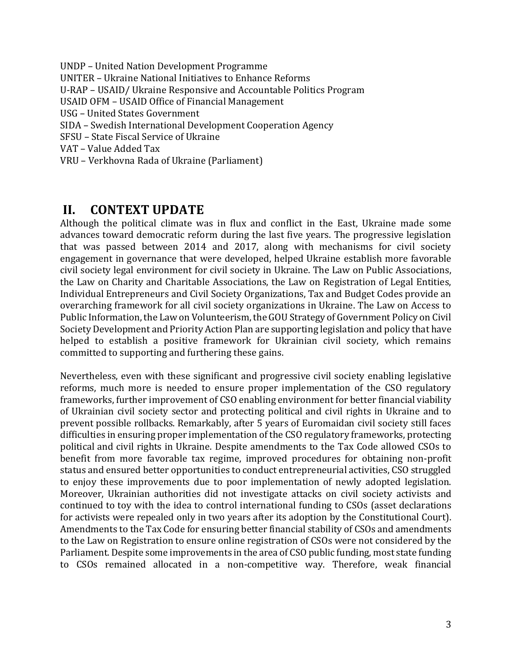UNDP – United Nation Development Programme UNITER – Ukraine National Initiatives to Enhance Reforms U-RAP – USAID/ Ukraine Responsive and Accountable Politics Program USAID OFM – USAID Office of Financial Management USG – United States Government SIDA – Swedish International Development Cooperation Agency SFSU – State Fiscal Service of Ukraine VAT – Value Added Tax VRU – Verkhovna Rada of Ukraine (Parliament)

# <span id="page-3-0"></span>**II. CONTEXT UPDATE**

Although the political climate was in flux and conflict in the East, Ukraine made some advances toward democratic reform during the last five years. The progressive legislation that was passed between 2014 and 2017, along with mechanisms for civil society engagement in governance that were developed, helped Ukraine establish more favorable civil society legal environment for civil society in Ukraine. The Law on Public Associations, the Law on Charity and Charitable Associations, the Law on Registration of Legal Entities, Individual Entrepreneurs and Civil Society Organizations, Tax and Budget Codes provide an overarching framework for all civil society organizations in Ukraine. The Law on Access to Public Information, the Law on Volunteerism, the GOU Strategy of Government Policy on Civil Society Development and Priority Action Plan are supporting legislation and policy that have helped to establish a positive framework for Ukrainian civil society, which remains committed to supporting and furthering these gains.

Nevertheless, even with these significant and progressive civil society enabling legislative reforms, much more is needed to ensure proper implementation of the CSO regulatory frameworks, further improvement of CSO enabling environment for better financial viability of Ukrainian civil society sector and protecting political and civil rights in Ukraine and to prevent possible rollbacks. Remarkably, after 5 years of Euromaidan civil society still faces difficulties in ensuring proper implementation of the CSO regulatory frameworks, protecting political and civil rights in Ukraine. Despite amendments to the Tax Code allowed CSOs to benefit from more favorable tax regime, improved procedures for obtaining non-profit status and ensured better opportunities to conduct entrepreneurial activities, CSO struggled to enjoy these improvements due to poor implementation of newly adopted legislation. Moreover, Ukrainian authorities did not investigate attacks on civil society activists and continued to toy with the idea to control international funding to CSOs (asset declarations for activists were repealed only in two years after its adoption by the Constitutional Court). Amendments to the Tax Code for ensuring better financial stability of CSOs and amendments to the Law on Registration to ensure online registration of CSOs were not considered by the Parliament. Despite some improvements in the area of CSO public funding, most state funding to CSOs remained allocated in a non-competitive way. Therefore, weak financial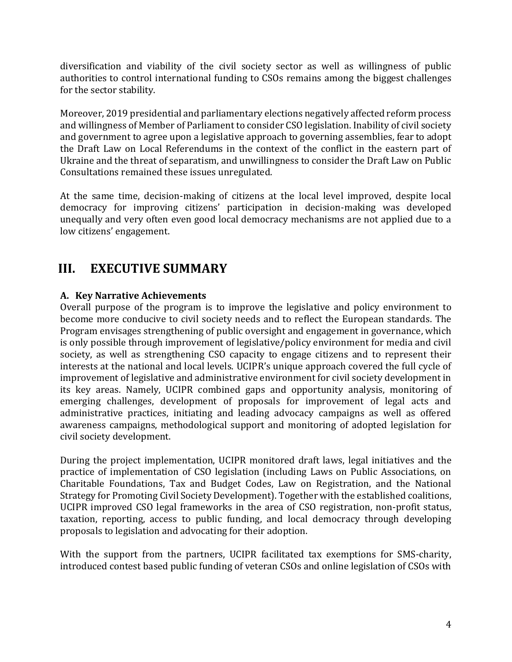diversification and viability of the civil society sector as well as willingness of public authorities to control international funding to CSOs remains among the biggest challenges for the sector stability.

Moreover, 2019 presidential and parliamentary elections negatively affected reform process and willingness of Member of Parliament to consider CSO legislation. Inability of civil society and government to agree upon a legislative approach to governing assemblies, fear to adopt the Draft Law on Local Referendums in the context of the conflict in the eastern part of Ukraine and the threat of separatism, and unwillingness to consider the Draft Law on Public Consultations remained these issues unregulated.

At the same time, decision-making of citizens at the local level improved, despite local democracy for improving citizens' participation in decision-making was developed unequally and very often even good local democracy mechanisms are not applied due to a low citizens' engagement.

# <span id="page-4-0"></span>**III. EXECUTIVE SUMMARY**

## **A. Key Narrative Achievements**

Overall purpose of the program is to improve the legislative and policy environment to become more conducive to civil society needs and to reflect the European standards. The Program envisages strengthening of public oversight and engagement in governance, which is only possible through improvement of legislative/policy environment for media and civil society, as well as strengthening CSO capacity to engage citizens and to represent their interests at the national and local levels. UCIPR's unique approach covered the full cycle of improvement of legislative and administrative environment for civil society development in its key areas. Namely, UCIPR combined gaps and opportunity analysis, monitoring of emerging challenges, development of proposals for improvement of legal acts and administrative practices, initiating and leading advocacy campaigns as well as offered awareness campaigns, methodological support and monitoring of adopted legislation for civil society development.

During the project implementation, UCIPR monitored draft laws, legal initiatives and the practice of implementation of CSO legislation (including Laws on Public Associations, on Charitable Foundations, Tax and Budget Codes, Law on Registration, and the National Strategy for Promoting Civil Society Development). Together with the established coalitions, UCIPR improved CSO legal frameworks in the area of CSO registration, non-profit status, taxation, reporting, access to public funding, and local democracy through developing proposals to legislation and advocating for their adoption.

With the support from the partners, UCIPR facilitated tax exemptions for SMS-charity, introduced contest based public funding of veteran CSOs and online legislation of CSOs with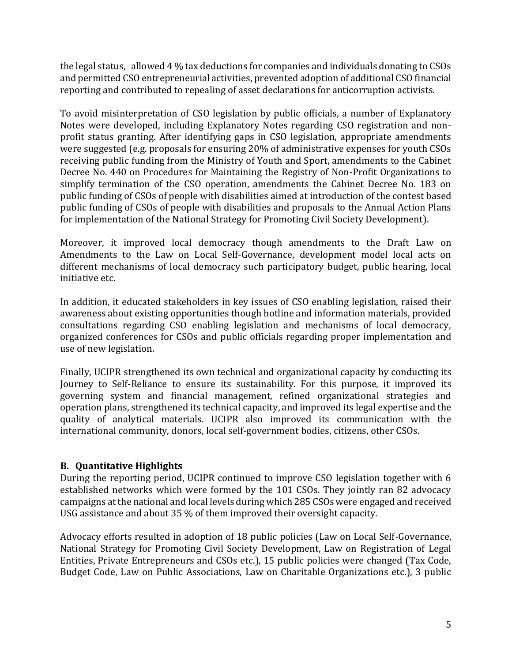the legal status, allowed 4 % tax deductions for companies and individuals donating to CSOs and permitted CSO entrepreneurial activities, prevented adoption of additional CSO financial reporting and contributed to repealing of asset declarations for anticorruption activists.

To avoid misinterpretation of CSO legislation by public officials, a number of Explanatory Notes were developed, including Explanatory Notes regarding CSO registration and nonprofit status granting. After identifying gaps in CSO legislation, appropriate amendments were suggested (e.g. proposals for ensuring 20% of administrative expenses for youth CSOs receiving public funding from the Ministry of Youth and Sport, amendments to the Cabinet Decree No. 440 on Procedures for Maintaining the Registry of Non-Profit Organizations to simplify termination of the CSO operation, amendments the Cabinet Decree No. 183 on public funding of CSOs of people with disabilities aimed at introduction of the contest based public funding of CSOs of people with disabilities and proposals to the Annual Action Plans for implementation of the National Strategy for Promoting Civil Society Development).

Moreover, it improved local democracy though amendments to the Draft Law on Amendments to the Law on Local Self-Governance, development model local acts on different mechanisms of local democracy such participatory budget, public hearing, local initiative etc.

In addition, it educated stakeholders in key issues of CSO enabling legislation, raised their awareness about existing opportunities though hotline and information materials, provided consultations regarding CSO enabling legislation and mechanisms of local democracy, organized conferences for CSOs and public officials regarding proper implementation and use of new legislation.

Finally, UCIPR strengthened its own technical and organizational capacity by conducting its Journey to Self-Reliance to ensure its sustainability. For this purpose, it improved its governing system and financial management, refined organizational strategies and operation plans, strengthened its technical capacity, and improved its legal expertise and the quality of analytical materials. UCIPR also improved its communication with the international community, donors, local self-government bodies, citizens, other CSOs.

## **B. Quantitative Highlights**

During the reporting period, UCIPR continued to improve CSO legislation together with 6 established networks which were formed by the 101 CSOs. They jointly ran 82 advocacy campaigns at the national and local levels during which 285 CSOs were engaged and received USG assistance and about 35 % of them improved their oversight capacity.

Advocacy efforts resulted in adoption of 18 public policies (Law on Local Self-Governance, National Strategy for Promoting Civil Society Development, Law on Registration of Legal Entities, Private Entrepreneurs and CSOs etc.), 15 public policies were changed (Tax Code, Budget Code, Law on Public Associations, Law on Charitable Organizations etc.), 3 public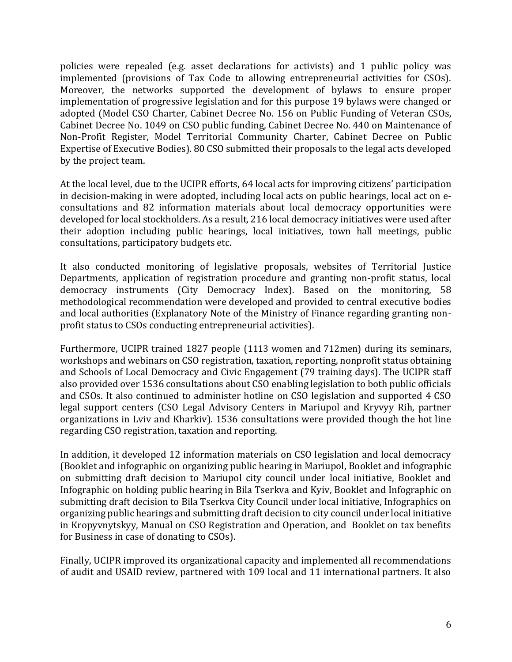policies were repealed (e.g. asset declarations for activists) and 1 public policy was implemented (provisions of Tax Code to allowing entrepreneurial activities for CSOs). Moreover, the networks supported the development of bylaws to ensure proper implementation of progressive legislation and for this purpose 19 bylaws were changed or adopted (Model CSO Charter, Cabinet Decree No. 156 on Public Funding of Veteran CSOs, Cabinet Decree No. 1049 on CSO public funding, Cabinet Decree No. 440 on Maintenance of Non-Profit Register, Model Territorial Community Charter, Cabinet Decree on Public Expertise of Executive Bodies). 80 CSO submitted their proposals to the legal acts developed by the project team.

At the local level, due to the UCIPR efforts, 64 local acts for improving citizens' participation in decision-making in were adopted, including local acts on public hearings, local act on econsultations and 82 information materials about local democracy opportunities were developed for local stockholders. As a result, 216 local democracy initiatives were used after their adoption including public hearings, local initiatives, town hall meetings, public consultations, participatory budgets etc.

It also conducted monitoring of legislative proposals, websites of Territorial Justice Departments, application of registration procedure and granting non-profit status, local democracy instruments (City Democracy Index). Based on the monitoring, 58 methodological recommendation were developed and provided to central executive bodies and local authorities (Explanatory Note of the Ministry of Finance regarding granting nonprofit status to CSOs conducting entrepreneurial activities).

Furthermore, UCIPR trained 1827 people (1113 women and 712men) during its seminars, workshops and webinars on CSO registration, taxation, reporting, nonprofit status obtaining and Schools of Local Democracy and Civic Engagement (79 training days). The UCIPR staff also provided over 1536 consultations about CSO enabling legislation to both public officials and CSOs. It also continued to administer hotline on CSO legislation and supported 4 CSO legal support centers (CSO Legal Advisory Centers in Mariupol and Kryvyy Rih, partner organizations in Lviv and Kharkiv). 1536 consultations were provided though the hot line regarding CSO registration, taxation and reporting.

In addition, it developed 12 information materials on CSO legislation and local democracy (Booklet and infographic on organizing public hearing in Mariupol, Booklet and infographic on submitting draft decision to Mariupol city council under local initiative, Booklet and Infographic on holding public hearing in Bila Tserkva and Kyiv, Booklet and Infographic on submitting draft decision to Bila Tserkva City Council under local initiative, Infographics on organizing public hearings and submitting draft decision to city council under local initiative in Kropyvnytskyy, Manual on CSO Registration and Operation, and Booklet on tax benefits for Business in case of donating to CSOs).

Finally, UCIPR improved its organizational capacity and implemented all recommendations of audit and USAID review, partnered with 109 local and 11 international partners. It also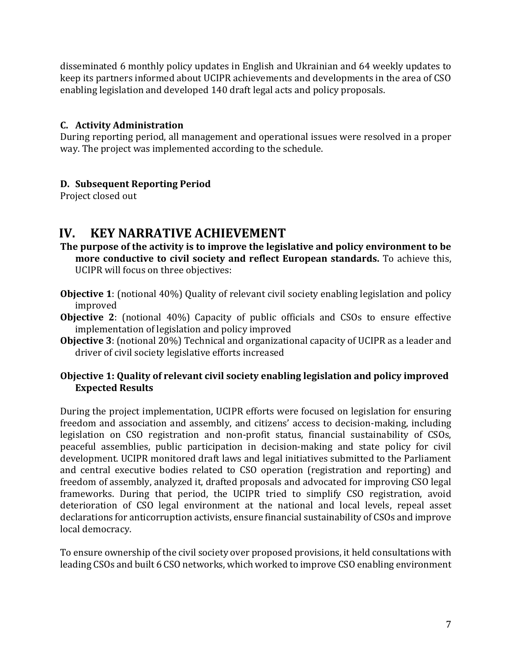disseminated 6 monthly policy updates in English and Ukrainian and 64 weekly updates to keep its partners informed about UCIPR achievements and developments in the area of CSO enabling legislation and developed 140 draft legal acts and policy proposals.

## **C. Activity Administration**

During reporting period, all management and operational issues were resolved in a proper way. The project was implemented according to the schedule.

# **D. Subsequent Reporting Period**

Project closed out

# <span id="page-7-0"></span>**IV. KEY NARRATIVE ACHIEVEMENT**

- **The purpose of the activity is to improve the legislative and policy environment to be more conductive to civil society and reflect European standards.** To achieve this, UCIPR will focus on three objectives:
- **Objective 1**: (notional 40%) Quality of relevant civil society enabling legislation and policy improved
- **Objective 2**: (notional 40%) Capacity of public officials and CSOs to ensure effective implementation of legislation and policy improved
- **Objective 3**: (notional 20%) Technical and organizational capacity of UCIPR as a leader and driver of civil society legislative efforts increased

## **Objective 1: Quality of relevant civil society enabling legislation and policy improved Expected Results**

During the project implementation, UCIPR efforts were focused on legislation for ensuring freedom and association and assembly, and citizens' access to decision-making, including legislation on CSO registration and non-profit status, financial sustainability of CSOs, peaceful assemblies, public participation in decision-making and state policy for civil development. UCIPR monitored draft laws and legal initiatives submitted to the Parliament and central executive bodies related to CSO operation (registration and reporting) and freedom of assembly, analyzed it, drafted proposals and advocated for improving CSO legal frameworks. During that period, the UCIPR tried to simplify CSO registration, avoid deterioration of CSO legal environment at the national and local levels, repeal asset declarations for anticorruption activists, ensure financial sustainability of CSOs and improve local democracy.

To ensure ownership of the civil society over proposed provisions, it held consultations with leading CSOs and built 6 CSO networks, which worked to improve CSO enabling environment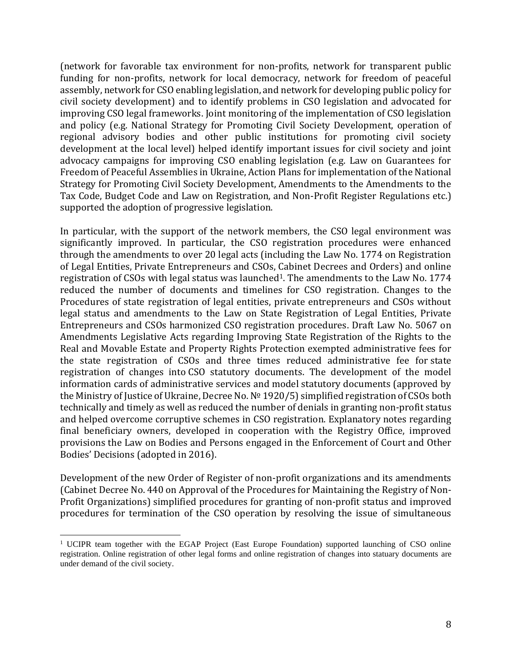(network for favorable tax environment for non-profits, network for transparent public funding for non-profits, network for local democracy, network for freedom of peaceful assembly, network for CSO enabling legislation, and network for developing public policy for civil society development) and to identify problems in CSO legislation and advocated for improving CSO legal frameworks. Joint monitoring of the implementation of CSO legislation and policy (e.g. National Strategy for Promoting Civil Society Development, operation of regional advisory bodies and other public institutions for promoting civil society development at the local level) helped identify important issues for civil society and joint advocacy campaigns for improving CSO enabling legislation (e.g. Law on Guarantees for Freedom of Peaceful Assemblies in Ukraine, Action Plans for implementation of the National Strategy for Promoting Civil Society Development, Amendments to the Amendments to the Tax Code, Budget Code and Law on Registration, and Non-Profit Register Regulations etc.) supported the adoption of progressive legislation.

In particular, with the support of the network members, the CSO legal environment was significantly improved. In particular, the CSO registration procedures were enhanced through the amendments to over 20 legal acts (including the Law No. 1774 on Registration of Legal Entities, Private Entrepreneurs and CSOs, Cabinet Decrees and Orders) and online registration of CSOs with legal status was launched<sup>1</sup>. The amendments to the Law No. 1774 reduced the number of documents and timelines for CSO registration. Changes to the Procedures of state registration of legal entities, private entrepreneurs and CSOs without legal status and amendments to the Law on State Registration of Legal Entities, Private Entrepreneurs and CSOs harmonized CSO registration procedures. Draft Law No. 5067 on Amendments Legislative Acts regarding Improving State Registration of the Rights to the Real and Movable Estate and Property Rights Protection exempted administrative fees for the state registration of CSOs and three times reduced administrative fee for state registration of changes into CSO statutory documents. The development of the model information cards of administrative services and model statutory documents (approved by the Ministry of Justice of Ukraine, Decree No. № 1920/5) simplified registration of CSOs both technically and timely as well as reduced the number of denials in granting non-profit status and helped overcome corruptive schemes in CSO registration. Explanatory notes regarding final beneficiary owners, developed in cooperation with the Registry Office, improved provisions the Law on Bodies and Persons engaged in the Enforcement of Court and Other Bodies' Decisions (adopted in 2016).

Development of the new Order of Register of non-profit organizations and its amendments (Cabinet Decree No. 440 on Approval of the Procedures for Maintaining the Registry of Non-Profit Organizations) simplified procedures for granting of non-profit status and improved procedures for termination of the CSO operation by resolving the issue of simultaneous

<sup>1</sup> UCIPR team together with the EGAP Project (East Europe Foundation) supported launching of CSO online registration. Online registration of other legal forms and online registration of changes into statuary documents are under demand of the civil society.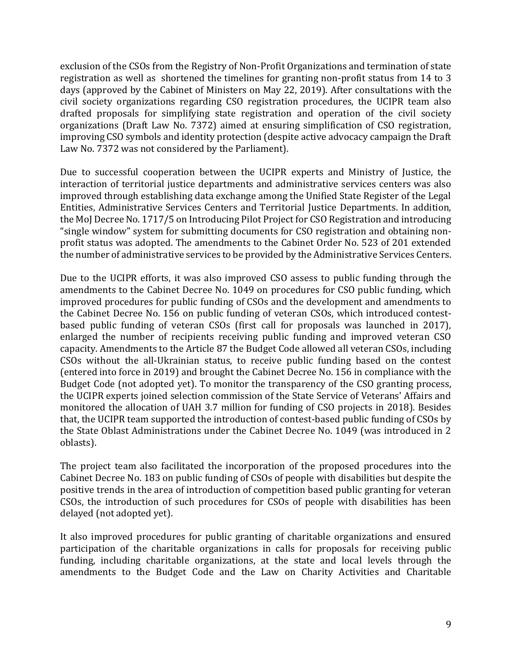exclusion of the CSOs from the Registry of Non-Profit Organizations and termination of state registration as well as shortened the timelines for granting non-profit status from 14 to 3 days (approved by the Cabinet of Ministers on May 22, 2019). After consultations with the civil society organizations regarding CSO registration procedures, the UCIPR team also drafted proposals for simplifying state registration and operation of the civil society organizations (Draft Law No. 7372) aimed at ensuring simplification of CSO registration, improving CSO symbols and identity protection (despite active advocacy campaign the Draft Law No. 7372 was not considered by the Parliament).

Due to successful cooperation between the UCIPR experts and Ministry of Justice, the interaction of territorial justice departments and administrative services centers was also improved through establishing data exchange among the Unified State Register of the Legal Entities, Administrative Services Centers and Territorial Justice Departments. In addition, the MoJ Decree No. 1717/5 on Introducing Pilot Project for CSO Registration and introducing "single window" system for submitting documents for CSO registration and obtaining nonprofit status was adopted. The amendments to the Cabinet Order No. 523 of 201 extended the number of administrative services to be provided by the Administrative Services Centers.

Due to the UCIPR efforts, it was also improved CSO assess to public funding through the amendments to the Cabinet Decree No. 1049 on procedures for CSO public funding, which improved procedures for public funding of CSOs and the development and amendments to the Cabinet Decree No. 156 on public funding of veteran CSOs, which introduced contestbased public funding of veteran CSOs (first call for proposals was launched in 2017), enlarged the number of recipients receiving public funding and improved veteran CSO capacity. Amendments to the Article 87 the Budget Code allowed all veteran CSOs, including CSOs without the all-Ukrainian status, to receive public funding based on the contest (entered into force in 2019) and brought the Cabinet Decree No. 156 in compliance with the Budget Code (not adopted yet). To monitor the transparency of the CSO granting process, the UCIPR experts joined selection commission of the State Service of Veterans' Affairs and monitored the allocation of UAH 3.7 million for funding of CSO projects in 2018). Besides that, the UCIPR team supported the introduction of contest-based public funding of CSOs by the State Oblast Administrations under the Cabinet Decree No. 1049 (was introduced in 2 oblasts).

The project team also facilitated the incorporation of the proposed procedures into the Cabinet Decree No. 183 on public funding of CSOs of people with disabilities but despite the positive trends in the area of introduction of competition based public granting for veteran CSOs, the introduction of such procedures for CSOs of people with disabilities has been delayed (not adopted yet).

It also improved procedures for public granting of charitable organizations and ensured participation of the charitable organizations in calls for proposals for receiving public funding, including charitable organizations, at the state and local levels through the amendments to the Budget Code and the Law on Charity Activities and Charitable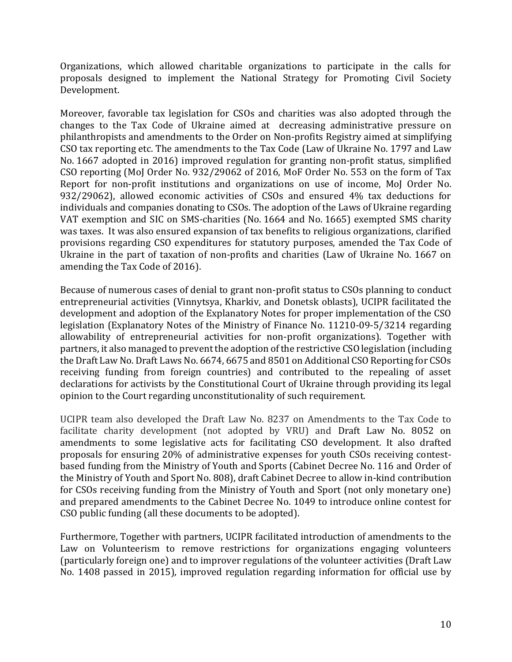Organizations, which allowed charitable organizations to participate in the calls for proposals designed to implement the National Strategy for Promoting Civil Society Development.

Moreover, favorable tax legislation for CSOs and charities was also adopted through the changes to the Tax Code of Ukraine aimed at decreasing administrative pressure on philanthropists and amendments to the Order on Non-profits Registry aimed at simplifying CSO tax reporting etc. The amendments to the Tax Code (Law of Ukraine No. 1797 and Law No. 1667 adopted in 2016) improved regulation for granting non-profit status, simplified CSO reporting (MoJ Order No. 932/29062 of 2016, MoF Order No. 553 on the form of Tax Report for non-profit institutions and organizations on use of income, MoJ Order No. 932/29062), allowed economic activities of CSOs and ensured 4% tax deductions for individuals and companies donating to CSOs. The adoption of the Laws of Ukraine regarding VAT exemption and SIC on SMS-charities (No. 1664 and No. 1665) exempted SMS charity was taxes. It was also ensured expansion of tax benefits to religious organizations, clarified provisions regarding CSO expenditures for statutory purposes, amended the Tax Code of Ukraine in the part of taxation of non-profits and charities (Law of Ukraine No. 1667 on amending the Tax Code of 2016).

Because of numerous cases of denial to grant non-profit status to CSOs planning to conduct entrepreneurial activities (Vinnytsya, Kharkiv, and Donetsk oblasts), UCIPR facilitated the development and adoption of the Explanatory Notes for proper implementation of the CSO legislation (Explanatory Notes of the Ministry of Finance No. 11210-09-5/3214 regarding allowability of entrepreneurial activities for non-profit organizations). Together with partners, it also managed to prevent the adoption of the restrictive CSO legislation (including the Draft Law No. Draft Laws No. 6674, 6675 and 8501 on Additional CSO Reporting for CSOs receiving funding from foreign countries) and contributed to the repealing of asset declarations for activists by the Constitutional Court of Ukraine through providing its legal opinion to the Court regarding unconstitutionality of such requirement.

UCIPR team also developed the Draft Law No. 8237 on Amendments to the Tax Code to facilitate charity development (not adopted by VRU) and Draft Law No. 8052 on amendments to some legislative acts for facilitating CSO development. It also drafted proposals for ensuring 20% of administrative expenses for youth CSOs receiving contestbased funding from the Ministry of Youth and Sports (Cabinet Decree No. 116 and Order of the Ministry of Youth and Sport No. 808), draft Cabinet Decree to allow in-kind contribution for CSOs receiving funding from the Ministry of Youth and Sport (not only monetary one) and prepared amendments to the Cabinet Decree No. 1049 to introduce online contest for CSO public funding (all these documents to be adopted).

Furthermore, Together with partners, UCIPR facilitated introduction of amendments to the Law on Volunteerism to remove restrictions for organizations engaging volunteers (particularly foreign one) and to improver regulations of the volunteer activities (Draft Law No. 1408 passed in 2015), improved regulation regarding information for official use by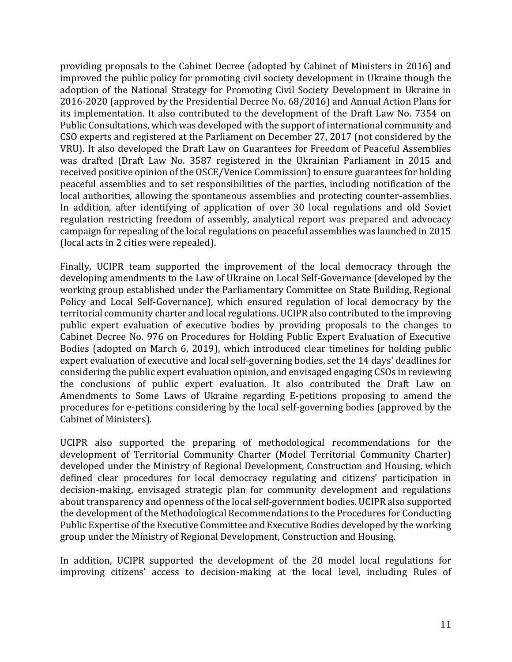providing proposals to the Cabinet Decree (adopted by Cabinet of Ministers in 2016) and improved the public policy for promoting civil society development in Ukraine though the adoption of the National Strategy for Promoting Civil Society Development in Ukraine in 2016-2020 (approved by the Presidential Decree No. 68/2016) and Annual Action Plans for its implementation. It also contributed to the development of the Draft Law No. 7354 on Public Consultations, which was developed with the support of international community and CSO experts and registered at the Parliament on December 27, 2017 (not considered by the VRU). It also developed the Draft Law on Guarantees for Freedom of Peaceful Assemblies was drafted (Draft Law No. 3587 registered in the Ukrainian Parliament in 2015 and received positive opinion of the OSCE/Venice Commission) to ensure guarantees for holding peaceful assemblies and to set responsibilities of the parties, including notification of the local authorities, allowing the spontaneous assemblies and protecting counter-assemblies. In addition, after identifying of application of over 30 local regulations and old Soviet regulation restricting freedom of assembly, analytical report was prepared and advocacy campaign for repealing of the local regulations on peaceful assemblies was launched in 2015 (local acts in 2 cities were repealed).

Finally, UCIPR team supported the improvement of the local democracy through the developing amendments to the Law of Ukraine on Local Self-Governance (developed by the working group established under the Parliamentary Committee on State Building, Regional Policy and Local Self-Governance), which ensured regulation of local democracy by the territorial community charter and local regulations. UCIPR also contributed to the improving public expert evaluation of executive bodies by providing proposals to the changes to Cabinet Decree No. 976 on Procedures for Holding Public Expert Evaluation of Executive Bodies (adopted on March 6, 2019), which introduced clear timelines for holding public expert evaluation of executive and local self-governing bodies, set the 14 days' deadlines for considering the public expert evaluation opinion, and envisaged engaging CSOs in reviewing the conclusions of public expert evaluation. It also contributed the Draft Law on Amendments to Some Laws of Ukraine regarding E-petitions proposing to amend the procedures for e-petitions considering by the local self-governing bodies (approved by the Cabinet of Ministers).

UCIPR also supported the preparing of methodological recommendations for the development of Territorial Community Charter (Model Territorial Community Charter) developed under the Ministry of Regional Development, Construction and Housing, which defined clear procedures for local democracy regulating and citizens' participation in decision-making, envisaged strategic plan for community development and regulations about transparency and openness of the local self-government bodies. UCIPR also supported the development of the Methodological Recommendations to the Procedures for Conducting Public Expertise of the Executive Committee and Executive Bodies developed by the working group under the Ministry of Regional Development, Construction and Housing.

In addition, UCIPR supported the development of the 20 model local regulations for improving citizens' access to decision-making at the local level, including Rules of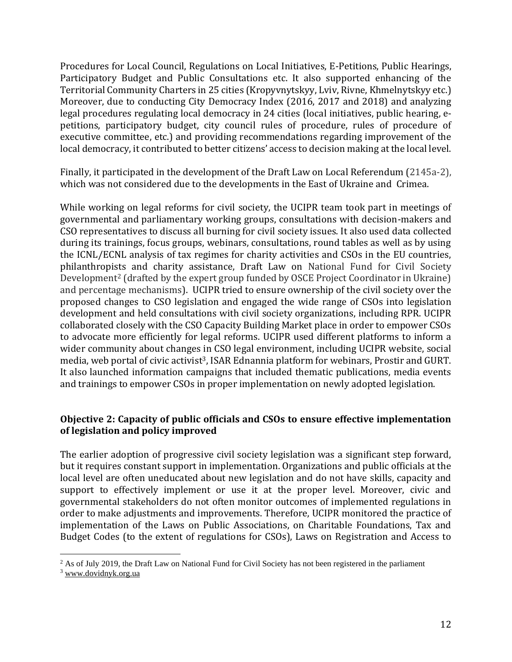Procedures for Local Council, Regulations on Local Initiatives, E-Petitions, Public Hearings, Participatory Budget and Public Consultations etc. It also supported enhancing of the Territorial Community Charters in 25 cities (Kropyvnytskyy, Lviv, Rivne, Khmelnytskyy etc.) Moreover, due to conducting City Democracy Index (2016, 2017 and 2018) and analyzing legal procedures regulating local democracy in 24 cities (local initiatives, public hearing, epetitions, participatory budget, city council rules of procedure, rules of procedure of executive committee, etc.) and providing recommendations regarding improvement of the local democracy, it contributed to better citizens' access to decision making at the local level.

Finally, it participated in the development of the Draft Law on Local Referendum (2145а-2), which was not considered due to the developments in the East of Ukraine and Crimea.

While working on legal reforms for civil society, the UCIPR team took part in meetings of governmental and parliamentary working groups, consultations with decision-makers and CSO representatives to discuss all burning for civil society issues. It also used data collected during its trainings, focus groups, webinars, consultations, round tables as well as by using the ICNL/ECNL analysis of tax regimes for charity activities and CSOs in the EU countries, philanthropists and charity assistance, Draft Law on National Fund for Civil Society Development<sup>2</sup> (drafted by the expert group funded by OSCE Project Coordinator in Ukraine) and percentage mechanisms). UCIPR tried to ensure ownership of the civil society over the proposed changes to CSO legislation and engaged the wide range of CSOs into legislation development and held consultations with civil society organizations, including RPR. UCIPR collaborated closely with the CSO Capacity Building Market place in order to empower CSOs to advocate more efficiently for legal reforms. UCIPR used different platforms to inform a wider community about changes in CSO legal environment, including UCIPR website, social media, web portal of civic activist<sup>3</sup>, ISAR Ednannia platform for webinars, Prostir and GURT. It also launched information campaigns that included thematic publications, media events and trainings to empower CSOs in proper implementation on newly adopted legislation.

### **Objective 2: Capacity of public officials and CSOs to ensure effective implementation of legislation and policy improved**

The earlier adoption of progressive civil society legislation was a significant step forward, but it requires constant support in implementation. Organizations and public officials at the local level are often uneducated about new legislation and do not have skills, capacity and support to effectively implement or use it at the proper level. Moreover, civic and governmental stakeholders do not often monitor outcomes of implemented regulations in order to make adjustments and improvements. Therefore, UCIPR monitored the practice of implementation of the Laws on Public Associations, on Charitable Foundations, Tax and Budget Codes (to the extent of regulations for CSOs), Laws on Registration and Access to

<sup>&</sup>lt;sup>2</sup> As of July 2019, the Draft Law on National Fund for Civil Society has not been registered in the parliament

<sup>3</sup> [www.dovidnyk.org.ua](http://www.dovidnyk.org.ua/)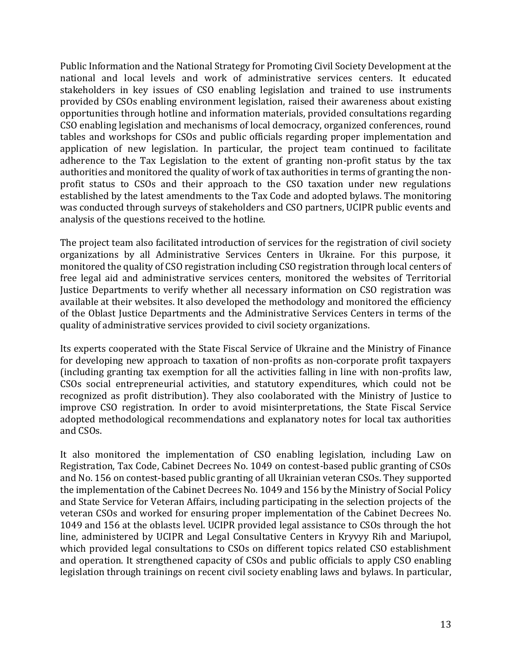Public Information and the National Strategy for Promoting Civil Society Development at the national and local levels and work of administrative services centers. It educated stakeholders in key issues of CSO enabling legislation and trained to use instruments provided by CSOs enabling environment legislation, raised their awareness about existing opportunities through hotline and information materials, provided consultations regarding CSO enabling legislation and mechanisms of local democracy, organized conferences, round tables and workshops for CSOs and public officials regarding proper implementation and application of new legislation. In particular, the project team continued to facilitate adherence to the Tax Legislation to the extent of granting non-profit status by the tax authorities and monitored the quality of work of tax authorities in terms of granting the nonprofit status to CSOs and their approach to the CSO taxation under new regulations established by the latest amendments to the Tax Code and adopted bylaws. The monitoring was conducted through surveys of stakeholders and CSO partners, UCIPR public events and analysis of the questions received to the hotline.

The project team also facilitated introduction of services for the registration of civil society organizations by all Administrative Services Centers in Ukraine. For this purpose, it monitored the quality of CSO registration including CSO registration through local centers of free legal aid and administrative services centers, monitored the websites of Territorial Justice Departments to verify whether all necessary information on CSO registration was available at their websites. It also developed the methodology and monitored the efficiency of the Oblast Justice Departments and the Administrative Services Centers in terms of the quality of administrative services provided to civil society organizations.

Its experts cooperated with the State Fiscal Service of Ukraine and the Ministry of Finance for developing new approach to taxation of non-profits as non-corporate profit taxpayers (including granting tax exemption for all the activities falling in line with non-profits law, CSOs social entrepreneurial activities, and statutory expenditures, which could not be recognized as profit distribution). They also coolaborated with the Ministry of Justice to improve CSO registration. In order to avoid misinterpretations, the State Fiscal Service adopted methodological recommendations and explanatory notes for local tax authorities and CSOs.

It also monitored the implementation of CSO enabling legislation, including Law on Registration, Tax Code, Cabinet Decrees No. 1049 on contest-based public granting of CSOs and No. 156 on contest-based public granting of all Ukrainian veteran CSOs. They supported the implementation of the Cabinet Decrees No. 1049 and 156 by the Ministry of Social Policy and State Service for Veteran Affairs, including participating in the selection projects of the veteran CSOs and worked for ensuring proper implementation of the Cabinet Decrees No. 1049 and 156 at the oblasts level. UCIPR provided legal assistance to CSOs through the hot line, administered by UCIPR and Legal Consultative Centers in Kryvyy Rih and Mariupol, which provided legal consultations to CSOs on different topics related CSO establishment and operation. It strengthened capacity of CSOs and public officials to apply CSO enabling legislation through trainings on recent civil society enabling laws and bylaws. In particular,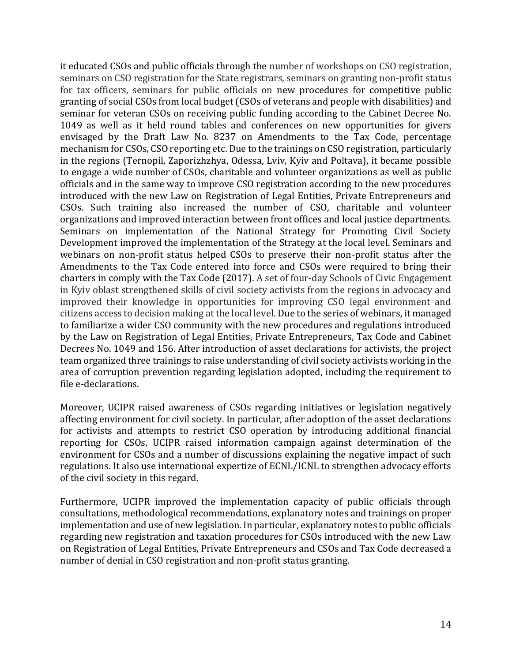it educated CSOs and public officials through the number of workshops on CSO registration, seminars on CSO registration for the State registrars, seminars on granting non-profit status for tax officers, seminars for public officials on new procedures for competitive public granting of social CSOs from local budget (CSOs of veterans and people with disabilities) and seminar for veteran CSOs on receiving public funding according to the Cabinet Decree No. 1049 as well as it held round tables and conferences on new opportunities for givers envisaged by the Draft Law No. 8237 on Amendments to the Tax Code, percentage mechanism for CSOs, CSO reporting etc. Due to the trainings on CSO registration, particularly in the regions (Ternopil, Zaporizhzhya, Odessa, Lviv, Kyiv and Poltava), it became possible to engage a wide number of CSOs, charitable and volunteer organizations as well as public officials and in the same way to improve CSO registration according to the new procedures introduced with the new Law on Registration of Legal Entities, Private Entrepreneurs and CSOs. Such training also increased the number of CSO, charitable and volunteer organizations and improved interaction between front offices and local justice departments. Seminars on implementation of the National Strategy for Promoting Civil Society Development improved the implementation of the Strategy at the local level. Seminars and webinars on non-profit status helped CSOs to preserve their non-profit status after the Amendments to the Tax Code entered into force and CSOs were required to bring their charters in comply with the Tax Code (2017). A set of four-day Schools of Civic Engagement in Kyiv oblast strengthened skills of civil society activists from the regions in advocacy and improved their knowledge in opportunities for improving CSO legal environment and citizens access to decision making at the local level. Due to the series of webinars, it managed to familiarize a wider CSO community with the new procedures and regulations introduced by the Law on Registration of Legal Entities, Private Entrepreneurs, Tax Code and Cabinet Decrees No. 1049 and 156. After introduction of asset declarations for activists, the project team organized three trainings to raise understanding of civil society activists working in the area of corruption prevention regarding legislation adopted, including the requirement to file e-declarations.

Moreover, UCIPR raised awareness of CSOs regarding initiatives or legislation negatively affecting environment for civil society. In particular, after adoption of the asset declarations for activists and attempts to restrict CSO operation by introducing additional financial reporting for CSOs, UCIPR raised information campaign against determination of the environment for CSOs and a number of discussions explaining the negative impact of such regulations. It also use international expertize of ECNL/ICNL to strengthen advocacy efforts of the civil society in this regard.

Furthermore, UCIPR improved the implementation capacity of public officials through consultations, methodological recommendations, explanatory notes and trainings on proper implementation and use of new legislation. In particular, explanatory notes to public officials regarding new registration and taxation procedures for CSOs introduced with the new Law on Registration of Legal Entities, Private Entrepreneurs and CSOs and Tax Code decreased a number of denial in CSO registration and non-profit status granting.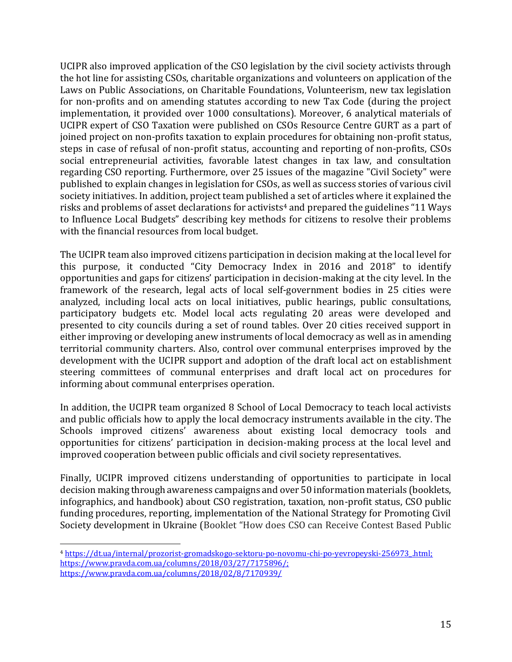UCIPR also improved application of the CSO legislation by the civil society activists through the hot line for assisting CSOs, charitable organizations and volunteers on application of the Laws on Public Associations, on Charitable Foundations, Volunteerism, new tax legislation for non-profits and on amending statutes according to new Tax Code (during the project implementation, it provided over 1000 consultations). Moreover, 6 analytical materials of UCIPR expert of CSO Taxation were published on CSOs Resource Centre GURT as a part of joined project on non-profits taxation to explain procedures for obtaining non-profit status, steps in case of refusal of non-profit status, accounting and reporting of non-profits, CSOs social entrepreneurial activities, favorable latest changes in tax law, and consultation regarding CSO reporting. Furthermore, over 25 issues of the magazine "Civil Society" were published to explain changes in legislation for CSOs, as well as success stories of various civil society initiatives. In addition, project team published a set of articles where it explained the risks and problems of asset declarations for activists<sup>4</sup> and prepared the guidelines "11 Ways to Influence Local Budgets" describing key methods for citizens to resolve their problems with the financial resources from local budget.

The UCIPR team also improved citizens participation in decision making at the local level for this purpose, it conducted "City Democracy Index in 2016 and 2018" to identify opportunities and gaps for citizens' participation in decision-making at the city level. In the framework of the research, legal acts of local self-government bodies in 25 cities were analyzed, including local acts on local initiatives, public hearings, public consultations, participatory budgets etс. Model local acts regulating 20 areas were developed and presented to city councils during a set of round tables. Over 20 cities received support in either improving or developing anew instruments of local democracy as well as in amending territorial community charters. Also, control over communal enterprises improved by the development with the UCIPR support and adoption of the draft local act on establishment steering committees of communal enterprises and draft local act on procedures for informing about communal enterprises operation.

In addition, the UCIPR team organized 8 School of Local Democracy to teach local activists and public officials how to apply the local democracy instruments available in the city. The Schools improved citizens' awareness about existing local democracy tools and opportunities for citizens' participation in decision-making process at the local level and improved cooperation between public officials and civil society representatives.

Finally, UCIPR improved citizens understanding of opportunities to participate in local decision making through awareness campaigns and over 50 information materials (booklets, infographics, and handbook) about CSO registration, taxation, non-profit status, CSO public funding procedures, reporting, implementation of the National Strategy for Promoting Civil Society development in Ukraine (Booklet "How does CSO can Receive Contest Based Public

<sup>4</sup> [https://dt.ua/internal/prozorist-gromadskogo-sektoru-po-novomu-chi-po-yevropeyski-256973\\_.html;](https://dt.ua/internal/prozorist-gromadskogo-sektoru-po-novomu-chi-po-yevropeyski-256973_.html) [https://www.pravda.com.ua/columns/2018/03/27/7175896/;](https://www.pravda.com.ua/columns/2018/03/27/7175896/) https://www.pravda.com.ua/columns/2018/02/8/7170939/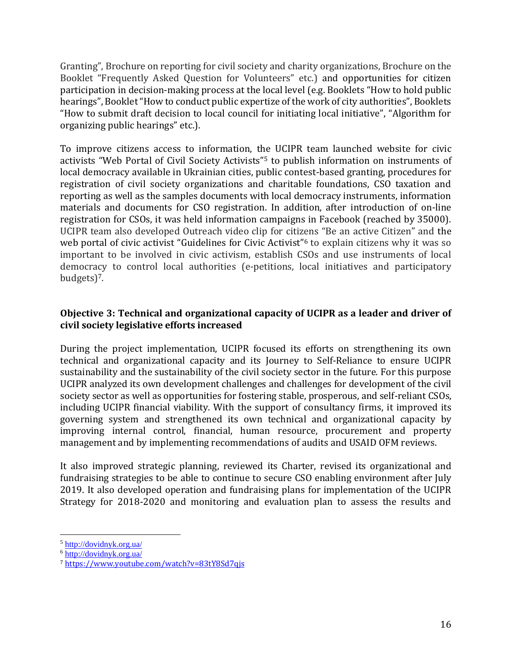Granting", Brochure on reporting for civil society and charity organizations, Brochure on the Booklet "Frequently Asked Question for Volunteers" etc.) and opportunities for citizen participation in decision-making process at the local level (e.g. Booklets "How to hold public hearings", Booklet "How to conduct public expertize of the work of city authorities", Booklets "How to submit draft decision to local council for initiating local initiative", "Algorithm for organizing public hearings" etc.).

To improve citizens access to information, the UCIPR team launched website for civic activists "Web Portal of Civil Society Activists"<sup>5</sup> to publish information on instruments of local democracy available in Ukrainian cities, public contest-based granting, procedures for registration of civil society organizations and charitable foundations, CSO taxation and reporting as well as the samples documents with local democracy instruments, information materials and documents for CSO registration. In addition, after introduction of on-line registration for CSOs, it was held information campaigns in Facebook (reached by 35000). UCIPR team also developed Outreach video clip for citizens "Be an active Citizen" and the web portal of civic activist "Guidelines for Civic Activist"<sup>6</sup> to explain citizens why it was so important to be involved in civic activism, establish CSOs and use instruments of local democracy to control local authorities (e-petitions, local initiatives and participatory budgets)7.

## **Objective 3: Technical and organizational capacity of UCIPR as a leader and driver of civil society legislative efforts increased**

During the project implementation, UCIPR focused its efforts on strengthening its own technical and organizational capacity and its Journey to Self-Reliance to ensure UCIPR sustainability and the sustainability of the civil society sector in the future. For this purpose UCIPR analyzed its own development challenges and challenges for development of the civil society sector as well as opportunities for fostering stable, prosperous, and self-reliant CSOs, including UCIPR financial viability. With the support of consultancy firms, it improved its governing system and strengthened its own technical and organizational capacity by improving internal control, financial, human resource, procurement and property management and by implementing recommendations of audits and USAID OFM reviews.

It also improved strategic planning, reviewed its Charter, revised its organizational and fundraising strategies to be able to continue to secure CSO enabling environment after July 2019. It also developed operation and fundraising plans for implementation of the UCIPR Strategy for 2018-2020 and monitoring and evaluation plan to assess the results and

<sup>5</sup> <http://dovidnyk.org.ua/>

<sup>6</sup> <http://dovidnyk.org.ua/>

<sup>7</sup> <https://www.youtube.com/watch?v=83tY8Sd7qjs>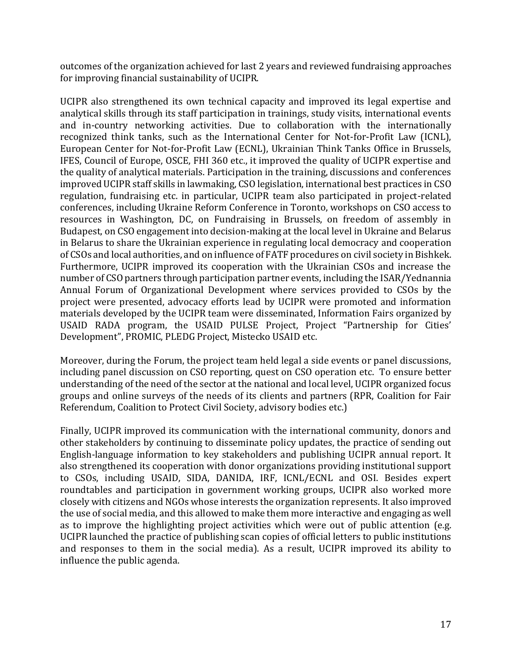outcomes of the organization achieved for last 2 years and reviewed fundraising approaches for improving financial sustainability of UCIPR.

UCIPR also strengthened its own technical capacity and improved its legal expertise and analytical skills through its staff participation in trainings, study visits, international events and in-country networking activities. Due to collaboration with the internationally recognized think tanks, such as the International Center for Not-for-Profit Law (ICNL), European Center for Not-for-Profit Law (ECNL), Ukrainian Think Tanks Office in Brussels, IFES, Council of Europe, OSCE, FHI 360 etc., it improved the quality of UCIPR expertise and the quality of analytical materials. Participation in the training, discussions and conferences improved UCIPR staff skills in lawmaking, CSO legislation, international best practices in CSO regulation, fundraising etc. in particular, UCIPR team also participated in project-related conferences, including Ukraine Reform Conference in Toronto, workshops on CSO access to resources in Washington, DC, on Fundraising in Brussels, on freedom of assembly in Budapest, on CSO engagement into decision-making at the local level in Ukraine and Belarus in Belarus to share the Ukrainian experience in regulating local democracy and cooperation of CSOs and local authorities, and on influence of FATF procedures on civil society in Bishkek. Furthermore, UCIPR improved its cooperation with the Ukrainian CSOs and increase the number of CSO partners through participation partner events, including the ISAR/Yednannia Annual Forum of Organizational Development where services provided to CSOs by the project were presented, advocacy efforts lead by UCIPR were promoted and information materials developed by the UCIPR team were disseminated, Information Fairs organized by USAID RADA program, the USAID PULSE Project, Project "Partnership for Cities' Development", PROMIC, PLEDG Project, Mistecko USAID etc.

Moreover, during the Forum, the project team held legal a side events or panel discussions, including panel discussion on CSO reporting, quest on CSO operation etc. To ensure better understanding of the need of the sector at the national and local level, UCIPR organized focus groups and online surveys of the needs of its clients and partners (RPR, Coalition for Fair Referendum, Coalition to Protect Civil Society, advisory bodies etc.)

Finally, UCIPR improved its communication with the international community, donors and other stakeholders by continuing to disseminate policy updates, the practice of sending out English-language information to key stakeholders and publishing UCIPR annual report. It also strengthened its cooperation with donor organizations providing institutional support to CSOs, including USAID, SIDA, DANIDA, IRF, ICNL/ECNL and OSI. Besides expert roundtables and participation in government working groups, UCIPR also worked more closely with citizens and NGOs whose interests the organization represents. It also improved the use of social media, and this allowed to make them more interactive and engaging as well as to improve the highlighting project activities which were out of public attention (e.g. UCIPR launched the practice of publishing scan copies of official letters to public institutions and responses to them in the social media). As a result, UCIPR improved its ability to influence the public agenda.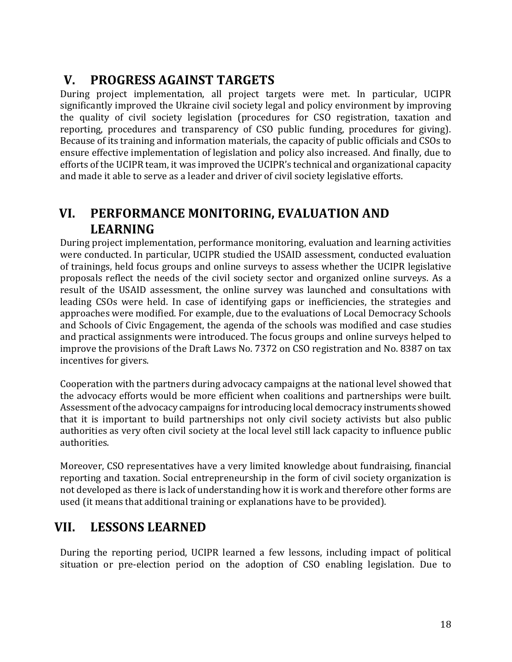# <span id="page-18-0"></span>**V. PROGRESS AGAINST TARGETS**

During project implementation, all project targets were met. In particular, UCIPR significantly improved the Ukraine civil society legal and policy environment by improving the quality of civil society legislation (procedures for CSO registration, taxation and reporting, procedures and transparency of CSO public funding, procedures for giving). Because of its training and information materials, the capacity of public officials and CSOs to ensure effective implementation of legislation and policy also increased. And finally, due to efforts of the UCIPR team, it was improved the UCIPR's technical and organizational capacity and made it able to serve as a leader and driver of civil society legislative efforts.

# <span id="page-18-1"></span>**VI. PERFORMANCE MONITORING, EVALUATION AND LEARNING**

During project implementation, performance monitoring, evaluation and learning activities were conducted. In particular, UCIPR studied the USAID assessment, conducted evaluation of trainings, held focus groups and online surveys to assess whether the UCIPR legislative proposals reflect the needs of the civil society sector and organized online surveys. As a result of the USAID assessment, the online survey was launched and consultations with leading CSOs were held. In case of identifying gaps or inefficiencies, the strategies and approaches were modified. For example, due to the evaluations of Local Democracy Schools and Schools of Civic Engagement, the agenda of the schools was modified and case studies and practical assignments were introduced. The focus groups and online surveys helped to improve the provisions of the Draft Laws No. 7372 on CSO registration and No. 8387 on tax incentives for givers.

Cooperation with the partners during advocacy campaigns at the national level showed that the advocacy efforts would be more efficient when coalitions and partnerships were built. Assessment of the advocacy campaigns for introducing local democracy instruments showed that it is important to build partnerships not only civil society activists but also public authorities as very often civil society at the local level still lack capacity to influence public authorities.

Moreover, CSO representatives have a very limited knowledge about fundraising, financial reporting and taxation. Social entrepreneurship in the form of civil society organization is not developed as there is lack of understanding how it is work and therefore other forms are used (it means that additional training or explanations have to be provided).

# <span id="page-18-2"></span>**VII. LESSONS LEARNED**

During the reporting period, UCIPR learned a few lessons, including impact of political situation or pre-election period on the adoption of CSO enabling legislation. Due to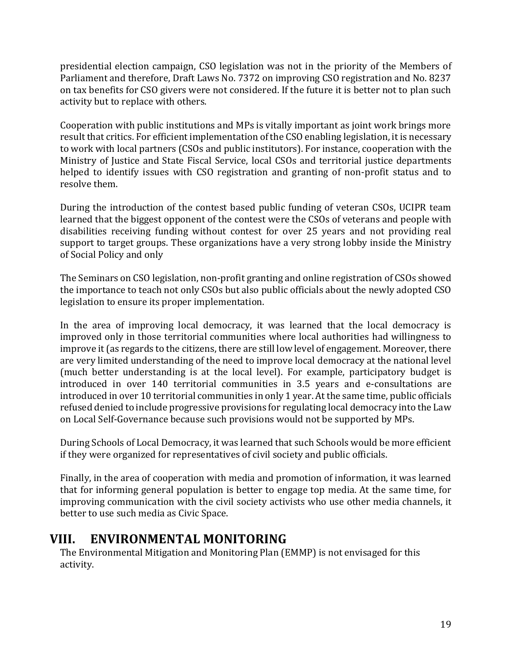presidential election campaign, CSO legislation was not in the priority of the Members of Parliament and therefore, Draft Laws No. 7372 on improving CSO registration and No. 8237 on tax benefits for CSO givers were not considered. If the future it is better not to plan such activity but to replace with others.

Cooperation with public institutions and MPs is vitally important as joint work brings more result that critics. For efficient implementation of the CSO enabling legislation, it is necessary to work with local partners (CSOs and public institutors). For instance, cooperation with the Ministry of Justice and State Fiscal Service, local CSOs and territorial justice departments helped to identify issues with CSO registration and granting of non-profit status and to resolve them.

During the introduction of the contest based public funding of veteran CSOs, UCIPR team learned that the biggest opponent of the contest were the CSOs of veterans and people with disabilities receiving funding without contest for over 25 years and not providing real support to target groups. These organizations have a very strong lobby inside the Ministry of Social Policy and only

The Seminars on CSO legislation, non-profit granting and online registration of CSOs showed the importance to teach not only CSOs but also public officials about the newly adopted CSO legislation to ensure its proper implementation.

In the area of improving local democracy, it was learned that the local democracy is improved only in those territorial communities where local authorities had willingness to improve it (as regards to the citizens, there are still low level of engagement. Moreover, there are very limited understanding of the need to improve local democracy at the national level (much better understanding is at the local level). For example, participatory budget is introduced in over 140 territorial communities in 3.5 years and e-consultations are introduced in over 10 territorial communities in only 1 year. At the same time, public officials refused denied to include progressive provisions for regulating local democracy into the Law on Local Self-Governance because such provisions would not be supported by MPs.

During Schools of Local Democracy, it was learned that such Schools would be more efficient if they were organized for representatives of civil society and public officials.

Finally, in the area of cooperation with media and promotion of information, it was learned that for informing general population is better to engage top media. At the same time, for improving communication with the civil society activists who use other media channels, it better to use such media as Civic Space.

# <span id="page-19-0"></span>**VIII. ENVIRONMENTAL MONITORING**

The Environmental Mitigation and Monitoring Plan (EMMP) is not envisaged for this activity.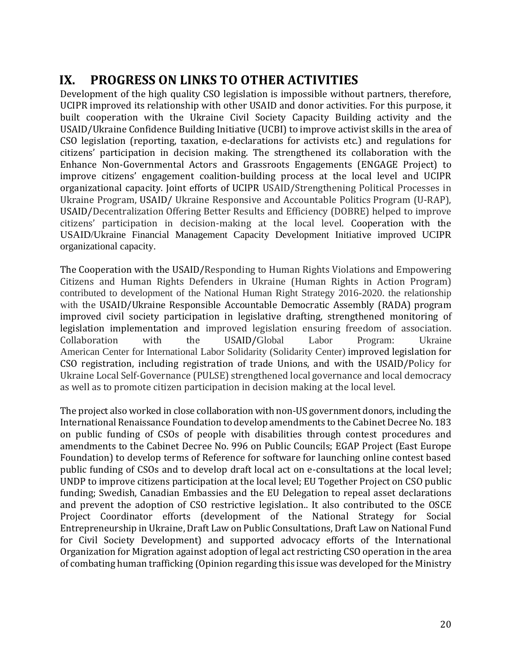# <span id="page-20-0"></span>**IX. PROGRESS ON LINKS TO OTHER ACTIVITIES**

Development of the high quality CSO legislation is impossible without partners, therefore, UCIPR improved its relationship with other USAID and donor activities. For this purpose, it built cooperation with the Ukraine Civil Society Capacity Building activity and the USAID/Ukraine Confidence Building Initiative (UCBI) to improve activist skills in the area of CSO legislation (reporting, taxation, e-declarations for activists etc.) and regulations for citizens' participation in decision making. The strengthened its collaboration with the Enhance Non-Governmental Actors and Grassroots Engagements (ENGAGE Project) to improve citizens' engagement coalition-building process at the local level and UCIPR organizational capacity. Joint efforts of UCIPR USAID/Strengthening Political Processes in Ukraine Program, USAID/ Ukraine Responsive and Accountable Politics Program (U-RAP), USAID/Decentralization Offering Better Results and Efficiency (DOBRE) helped to improve citizens' participation in decision-making at the local level. Cooperation with the USAID/Ukraine Financial Management Capacity Development Initiative improved UCIPR organizational capacity.

The Cooperation with the USAID/Responding to Human Rights Violations and Empowering Citizens and Human Rights Defenders in Ukraine (Human Rights in Action Program) contributed to development of the National Human Right Strategy 2016-2020. the relationship with the USAID/Ukraine Responsible Accountable Democratic Assembly (RADA) program improved civil society participation in legislative drafting, strengthened monitoring of legislation implementation and improved legislation ensuring freedom of association. Collaboration with the USAID/Global Labor Program: Ukraine American Center for International Labor Solidarity (Solidarity Center) improved legislation for CSO registration, including registration of trade Unions, and with the USAID/Policy for Ukraine Local Self-Governance (PULSE) strengthened local governance and local democracy as well as to promote citizen participation in decision making at the local level.

The project also worked in close collaboration with non-US government donors, including the International Renaissance Foundation to develop amendments to the Cabinet Decree No. 183 on public funding of CSOs of people with disabilities through contest procedures and amendments to the Cabinet Decree No. 996 on Public Councils; EGAP Project (East Europe Foundation) to develop terms of Reference for software for launching online contest based public funding of CSOs and to develop draft local act on e-consultations at the local level; UNDP to improve citizens participation at the local level; EU Together Project on CSO public funding; Swedish, Canadian Embassies and the EU Delegation to repeal asset declarations and prevent the adoption of CSO restrictive legislation.. It also contributed to the OSCE Project Coordinator efforts (development of the National Strategy for Social Entrepreneurship in Ukraine, Draft Law on Public Consultations, Draft Law on National Fund for Civil Society Development) and supported advocacy efforts of the International Organization for Migration against adoption of legal act restricting CSO operation in the area of combating human trafficking (Opinion regarding this issue was developed for the Ministry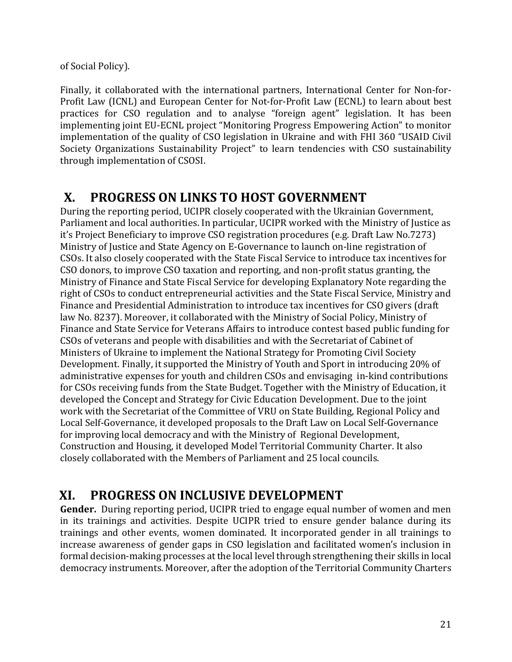of Social Policy).

Finally, it collaborated with the international partners, International Center for Non-for-Profit Law (ICNL) and European Center for Not-for-Profit Law (ECNL) to learn about best practices for CSO regulation and to analyse "foreign agent" legislation. It has been implementing joint EU-ECNL project "Monitoring Progress Empowering Action" to monitor implementation of the quality of CSO legislation in Ukraine and with FHI 360 "USAID Civil Society Organizations Sustainability Project" to learn tendencies with CSO sustainability through implementation of CSOSI.

# <span id="page-21-0"></span>**X. PROGRESS ON LINKS TO HOST GOVERNMENT**

During the reporting period, UCIPR closely cooperated with the Ukrainian Government, Parliament and local authorities. In particular, UCIPR worked with the Ministry of Justice as it's Project Beneficiary to improve CSO registration procedures (e.g. Draft Law No.7273) Ministry of Justice and State Agency on E-Governance to launch on-line registration of CSOs. It also closely cooperated with the State Fiscal Service to introduce tax incentives for CSO donors, to improve CSO taxation and reporting, and non-profit status granting, the Ministry of Finance and State Fiscal Service for developing Explanatory Note regarding the right of CSOs to conduct entrepreneurial activities and the State Fiscal Service, Ministry and Finance and Presidential Administration to introduce tax incentives for CSO givers (draft law No. 8237). Moreover, it collaborated with the Ministry of Social Policy, Ministry of Finance and State Service for Veterans Affairs to introduce contest based public funding for CSOs of veterans and people with disabilities and with the Secretariat of Cabinet of Ministers of Ukraine to implement the National Strategy for Promoting Civil Society Development. Finally, it supported the Ministry of Youth and Sport in introducing 20% of administrative expenses for youth and children CSOs and envisaging in-kind contributions for CSOs receiving funds from the State Budget. Together with the Ministry of Education, it developed the Concept and Strategy for Civic Education Development. Due to the joint work with the Secretariat of the Committee of VRU on State Building, Regional Policy and Local Self-Governance, it developed proposals to the Draft Law on Local Self-Governance for improving local democracy and with the Ministry of Regional Development, Construction and Housing, it developed Model Territorial Community Charter. It also closely collaborated with the Members of Parliament and 25 local councils.

# <span id="page-21-1"></span>**XI. PROGRESS ON INCLUSIVE DEVELOPMENT**

**Gender.** During reporting period, UCIPR tried to engage equal number of women and men in its trainings and activities. Despite UCIPR tried to ensure gender balance during its trainings and other events, women dominated. It incorporated gender in all trainings to increase awareness of gender gaps in CSO legislation and facilitated women's inclusion in formal decision-making processes at the local level through strengthening their skills in local democracy instruments. Moreover, after the adoption of the Territorial Community Charters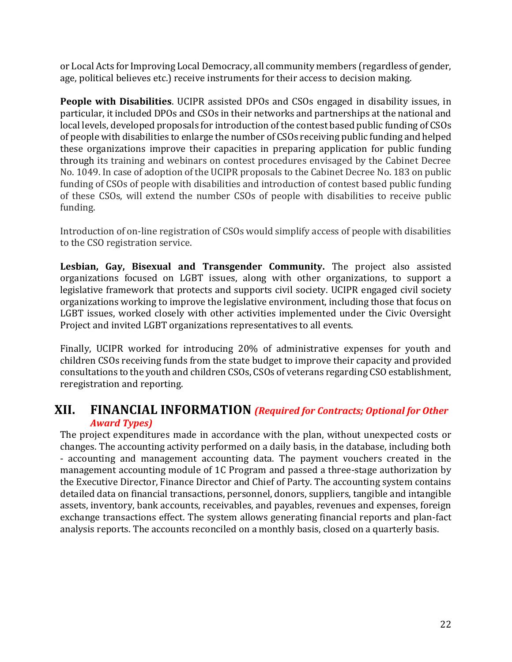or Local Acts for Improving Local Democracy, all community members (regardless of gender, age, political believes etc.) receive instruments for their access to decision making.

**People with Disabilities**. UCIPR assisted DPOs and CSOs engaged in disability issues, in particular, it included DPOs and CSOs in their networks and partnerships at the national and local levels, developed proposals for introduction of the contest based public funding of CSOs of people with disabilities to enlarge the number of CSOs receiving public funding and helped these organizations improve their capacities in preparing application for public funding through its training and webinars on contest procedures envisaged by the Cabinet Decree No. 1049. In case of adoption of the UCIPR proposals to the Cabinet Decree No. 183 on public funding of CSOs of people with disabilities and introduction of contest based public funding of these CSOs, will extend the number CSOs of people with disabilities to receive public funding.

Introduction of on-line registration of CSOs would simplify access of people with disabilities to the CSO registration service.

**Lesbian, Gay, Bisexual and Transgender Community.** The project also assisted organizations focused on LGBT issues, along with other organizations, to support a legislative framework that protects and supports civil society. UCIPR engaged civil society organizations working to improve the legislative environment, including those that focus on LGBT issues, worked closely with other activities implemented under the Civic Oversight Project and invited LGBT organizations representatives to all events.

Finally, UCIPR worked for introducing 20% of administrative expenses for youth and children CSOs receiving funds from the state budget to improve their capacity and provided consultations to the youth and children CSOs, CSOs of veterans regarding CSO establishment, reregistration and reporting.

# <span id="page-22-0"></span>**XII. FINANCIAL INFORMATION** *(Required for Contracts; Optional for Other Award Types)*

The project expenditures made in accordance with the plan, without unexpected costs or changes. The accounting activity performed on a daily basis, in the database, including both - accounting and management accounting data. The payment vouchers created in the management accounting module of 1C Program and passed a three-stage authorization by the Executive Director, Finance Director and Chief of Party. The accounting system contains detailed data on financial transactions, personnel, donors, suppliers, tangible and intangible assets, inventory, bank accounts, receivables, and payables, revenues and expenses, foreign exchange transactions effect. The system allows generating financial reports and plan-fact analysis reports. The accounts reconciled on a monthly basis, closed on a quarterly basis.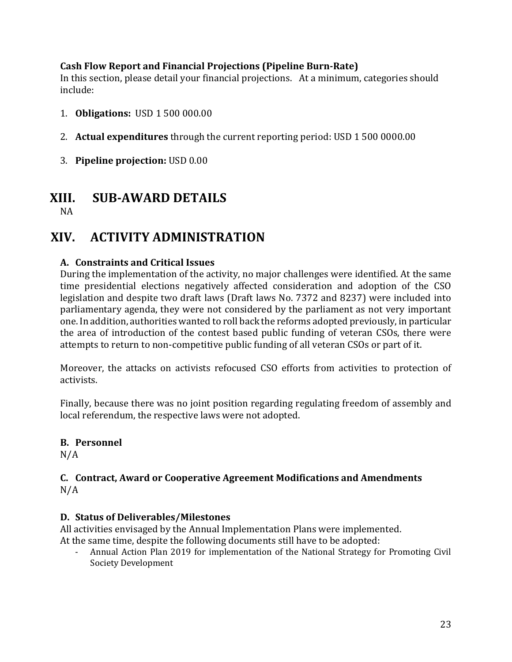## **Cash Flow Report and Financial Projections (Pipeline Burn-Rate)**

In this section, please detail your financial projections. At a minimum, categories should include:

- 1. **Obligations:** USD 1 500 000.00
- 2. **Actual expenditures** through the current reporting period: USD 1 500 0000.00
- 3. **Pipeline projection:** USD 0.00

# **XIII. SUB-AWARD DETAILS**

<span id="page-23-0"></span>NA

# <span id="page-23-1"></span>**XIV. ACTIVITY ADMINISTRATION**

## **A. Constraints and Critical Issues**

During the implementation of the activity, no major challenges were identified. At the same time presidential elections negatively affected consideration and adoption of the CSO legislation and despite two draft laws (Draft laws No. 7372 and 8237) were included into parliamentary agenda, they were not considered by the parliament as not very important one. In addition, authorities wanted to roll back the reforms adopted previously, in particular the area of introduction of the contest based public funding of veteran CSOs, there were attempts to return to non-competitive public funding of all veteran CSOs or part of it.

Moreover, the attacks on activists refocused CSO efforts from activities to protection of activists.

Finally, because there was no joint position regarding regulating freedom of assembly and local referendum, the respective laws were not adopted.

# **B. Personnel**

N/A

### **C. Contract, Award or Cooperative Agreement Modifications and Amendments**  $N/A$

## **D. Status of Deliverables/Milestones**

All activities envisaged by the Annual Implementation Plans were implemented. At the same time, despite the following documents still have to be adopted:

- Annual Action Plan 2019 for implementation of the National Strategy for Promoting Civil Society Development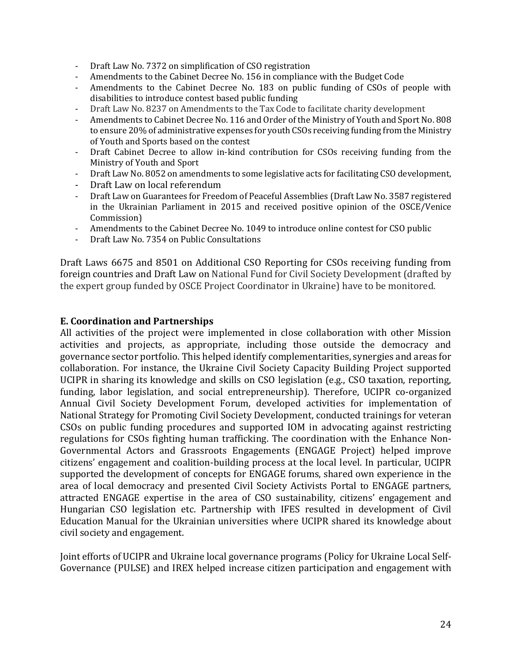- Draft Law No. 7372 on simplification of CSO registration
- Amendments to the Cabinet Decree No. 156 in compliance with the Budget Code
- Amendments to the Cabinet Decree No. 183 on public funding of CSOs of people with disabilities to introduce contest based public funding
- Draft Law No. 8237 on Amendments to the Tax Code to facilitate charity development
- Amendments to Cabinet Decree No. 116 and Order of the Ministry of Youth and Sport No. 808 to ensure 20% of administrative expenses for youth CSOs receiving funding from the Ministry of Youth and Sports based on the contest
- Draft Cabinet Decree to allow in-kind contribution for CSOs receiving funding from the Ministry of Youth and Sport
- Draft Law No. 8052 on amendments to some legislative acts for facilitating CSO development,
- Draft Law on local referendum
- Draft Law on Guarantees for Freedom of Peaceful Assemblies (Draft Law No. 3587 registered in the Ukrainian Parliament in 2015 and received positive opinion of the OSCE/Venice Commission)
- Amendments to the Cabinet Decree No. 1049 to introduce online contest for CSO public
- Draft Law No. 7354 on Public Consultations

Draft Laws 6675 and 8501 on Additional CSO Reporting for CSOs receiving funding from foreign countries and Draft Law on National Fund for Civil Society Development (drafted by the expert group funded by OSCE Project Coordinator in Ukraine) have to be monitored.

#### **E. Coordination and Partnerships**

All activities of the project were implemented in close collaboration with other Mission activities and projects, as appropriate, including those outside the democracy and governance sector portfolio. This helped identify complementarities, synergies and areas for collaboration. For instance, the Ukraine Civil Society Capacity Building Project supported UCIPR in sharing its knowledge and skills on CSO legislation (e.g., CSO taxation, reporting, funding, labor legislation, and social entrepreneurship). Therefore, UCIPR co-organized Annual Civil Society Development Forum, developed activities for implementation of National Strategy for Promoting Civil Society Development, conducted trainings for veteran CSOs on public funding procedures and supported IOM in advocating against restricting regulations for CSOs fighting human trafficking. The coordination with the Enhance Non-Governmental Actors and Grassroots Engagements (ENGAGE Project) helped improve citizens' engagement and coalition-building process at the local level. In particular, UCIPR supported the development of concepts for ENGAGE forums, shared own experience in the area of local democracy and presented Civil Society Activists Portal to ENGAGE partners, attracted ENGAGE expertise in the area of CSO sustainability, citizens' engagement and Hungarian CSO legislation etc. Partnership with IFES resulted in development of Civil Education Manual for the Ukrainian universities where UCIPR shared its knowledge about civil society and engagement.

Joint efforts of UCIPR and Ukraine local governance programs (Policy for Ukraine Local Self-Governance (PULSE) and IREX helped increase citizen participation and engagement with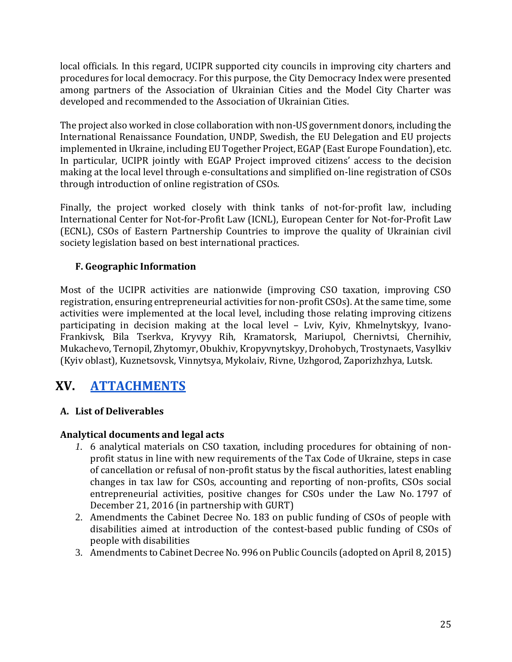local officials. In this regard, UCIPR supported city councils in improving city charters and procedures for local democracy. For this purpose, the City Democracy Index were presented among partners of the Association of Ukrainian Cities and the Model City Charter was developed and recommended to the Association of Ukrainian Cities.

The project also worked in close collaboration with non-US government donors, including the International Renaissance Foundation, UNDP, Swedish, the EU Delegation and EU projects implemented in Ukraine, including EU Together Project, EGAP (East Europe Foundation), etc. In particular, UCIPR jointly with EGAP Project improved citizens' access to the decision making at the local level through e-consultations and simplified on-line registration of CSOs through introduction of online registration of CSOs.

Finally, the project worked closely with think tanks of not-for-profit law, including International Center for Not-for-Profit Law (ICNL), European Center for Not-for-Profit Law (ECNL), CSOs of Eastern Partnership Countries to improve the quality of Ukrainian civil society legislation based on best international practices.

## **F. Geographic Information**

Most of the UCIPR activities are nationwide (improving CSO taxation, improving CSO registration, ensuring entrepreneurial activities for non-profit CSOs). At the same time, some activities were implemented at the local level, including those relating improving citizens participating in decision making at the local level – Lviv, Kyiv, Khmelnytskyy, Ivano-Frankivsk, Bila Tserkva, Kryvyy Rih, Kramatorsk, Mariupol, Chernivtsi, Chernihiv, Mukachevo, Ternopil, Zhytomyr, Obukhiv, Kropyvnytskyy, Drohobych, Trostynaets, Vasylkiv (Kyiv oblast), Kuznetsovsk, Vinnytsya, Mykolaiv, Rivne, Uzhgorod, Zaporizhzhya, Lutsk.

# <span id="page-25-0"></span>**XV. [ATTACHMENTS](https://docs.google.com/spreadsheets/d/1TAmbaw21rN3HHi7t7bo2kuyXxWVLe2G_NvnH0V9URSw/edit?usp=sharing)**

## **A. List of Deliverables**

## **Analytical documents and legal acts**

- *1.* 6 analytical materials on CSO taxation, including procedures for obtaining of nonprofit status in line with new requirements of the Tax Code of Ukraine, steps in case of cancellation or refusal of non-profit status by the fiscal authorities, latest enabling changes in tax law for CSOs, accounting and reporting of non-profits, CSOs social entrepreneurial activities, positive changes for CSOs under the Law No. 1797 of December 21, 2016 (in partnership with GURT)
- 2. Amendments the Cabinet Decree No. 183 on public funding of CSOs of people with disabilities aimed at introduction of the contest-based public funding of CSOs of people with disabilities
- 3. Amendments to Cabinet Decree No. 996 on Public Councils (adopted on April 8, 2015)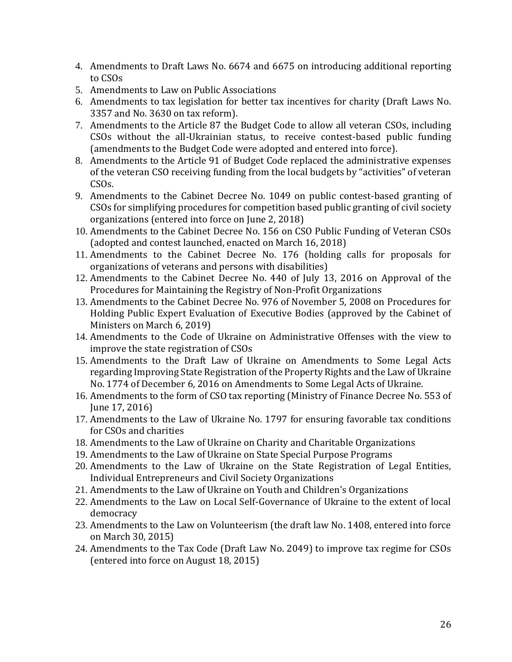- 4. Amendments to Draft Laws No. 6674 and 6675 on introducing additional reporting to CSOs
- 5. Amendments to Law on Public Associations
- 6. Amendments to tax legislation for better tax incentives for charity (Draft Laws No. 3357 and No. 3630 on tax reform).
- 7. Amendments to the Article 87 the Budget Code to allow all veteran CSOs, including CSOs without the all-Ukrainian status, to receive contest-based public funding (amendments to the Budget Code were adopted and entered into force).
- 8. Amendments to the Article 91 of Budget Code replaced the administrative expenses of the veteran CSO receiving funding from the local budgets by "activities" of veteran CSOs.
- 9. Amendments to the Cabinet Decree No. 1049 on public contest-based granting of CSOs for simplifying procedures for competition based public granting of civil society organizations (entered into force on June 2, 2018)
- 10. Amendments to the Cabinet Decree No. 156 on CSO Public Funding of Veteran CSOs (adopted and contest launched, enacted on March 16, 2018)
- 11. Amendments to the Cabinet Decree No. 176 (holding calls for proposals for organizations of veterans and persons with disabilities)
- 12. Amendments to the Cabinet Decree No. 440 of July 13, 2016 on Approval of the Procedures for Maintaining the Registry of Non-Profit Organizations
- 13. Amendments to the Cabinet Decree No. 976 of November 5, 2008 on Procedures for Holding Public Expert Evaluation of Executive Bodies (approved by the Cabinet of Ministers on March 6, 2019)
- 14. Amendments to the Code of Ukraine on Administrative Offenses with the view to improve the state registration of CSOs
- 15. Amendments to the Draft Law of Ukraine on Amendments to Some Legal Acts regarding Improving State Registration of the Property Rights and the Law of Ukraine No. 1774 of December 6, 2016 on Amendments to Some Legal Acts of Ukraine.
- 16. Amendments to the form of CSO tax reporting (Ministry of Finance Decree No. 553 of June 17, 2016)
- 17. Amendments to the Law of Ukraine No. 1797 for ensuring favorable tax conditions for CSOs and charities
- 18. Amendments to the Law of Ukraine on Charity and Charitable Organizations
- 19. Amendments to the Law of Ukraine on State Special Purpose Programs
- 20. Amendments to the Law of Ukraine on the State Registration of Legal Entities, Individual Entrepreneurs and Civil Society Organizations
- 21. Amendments to the Law of Ukraine on Youth and Children's Organizations
- 22. Amendments to the Law on Local Self-Governance of Ukraine to the extent of local democracy
- 23. Amendments to the Law on Volunteerism (the draft law No. 1408, entered into force on March 30, 2015)
- 24. Amendments to the Tax Code (Draft Law No. 2049) to improve tax regime for CSOs (entered into force on August 18, 2015)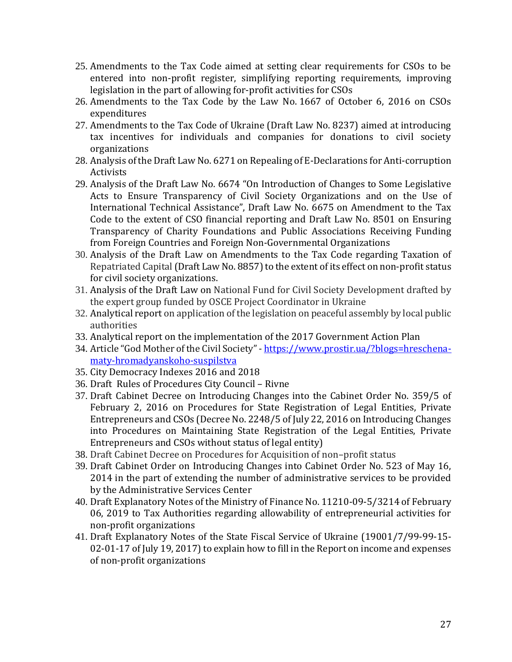- 25. Amendments to the Tax Code aimed at setting clear requirements for CSOs to be entered into non-profit register, simplifying reporting requirements, improving legislation in the part of allowing for-profit activities for CSOs
- 26. Amendments to the Tax Code by the Law No. 1667 of October 6, 2016 on CSOs expenditures
- 27. Amendments to the Tax Code of Ukraine (Draft Law No. 8237) aimed at introducing tax incentives for individuals and companies for donations to civil society organizations
- 28. Analysis of the Draft Law No. 6271 on Repealing of E-Declarations for Anti-corruption **Activists**
- 29. Analysis of the Draft Law No. 6674 "On Introduction of Changes to Some Legislative Acts to Ensure Transparency of Civil Society Organizations and on the Use of International Technical Assistance", Draft Law No. 6675 on Amendment to the Tax Code to the extent of CSO financial reporting and Draft Law No. 8501 on Ensuring Transparency of Charity Foundations and Public Associations Receiving Funding from Foreign Countries and Foreign Non-Governmental Organizations
- 30. Analysis of the Draft Law on Amendments to the Tax Code regarding Taxation of Repatriated Capital (Draft Law No. 8857) to the extent of its effect on non-profit status for civil society organizations.
- 31. Analysis of the Draft Law on National Fund for Civil Society Development drafted by the expert group funded by OSCE Project Coordinator in Ukraine
- 32. Analytical report on application of the legislation on peaceful assembly by local public authorities
- 33. Analytical report on the implementation of the 2017 Government Action Plan
- 34. Article "God Mother of the Civil Society" [https://www.prostir.ua/?blogs=hreschena](https://www.prostir.ua/?blogs=hreschena-maty-hromadyanskoho-suspilstva)[maty-hromadyanskoho-suspilstva](https://www.prostir.ua/?blogs=hreschena-maty-hromadyanskoho-suspilstva)
- 35. City Democracy Indexes 2016 and 2018
- 36. Draft Rules of Procedures City Council Rivne
- 37. Draft Cabinet Decree on Introducing Changes into the Cabinet Order No. 359/5 of February 2, 2016 on Procedures for State Registration of Legal Entities, Private Entrepreneurs and CSOs (Decree No. 2248/5 of July 22, 2016 on Introducing Changes into Procedures on Maintaining State Registration of the Legal Entities, Private Entrepreneurs and CSOs without status of legal entity)
- 38. Draft Cabinet Decree on Procedures for Acquisition of non–profit status
- 39. Draft Cabinet Order on Introducing Changes into Cabinet Order No. 523 of May 16, 2014 in the part of extending the number of administrative services to be provided by the Administrative Services Center
- 40. Draft Explanatory Notes of the Ministry of Finance No. 11210-09-5/3214 of February 06, 2019 to Tax Authorities regarding allowability of entrepreneurial activities for non-profit organizations
- 41. Draft Explanatory Notes of the State Fiscal Service of Ukraine (19001/7/99-99-15- 02-01-17 of July 19, 2017) to explain how to fill in the Report on income and expenses of non-profit organizations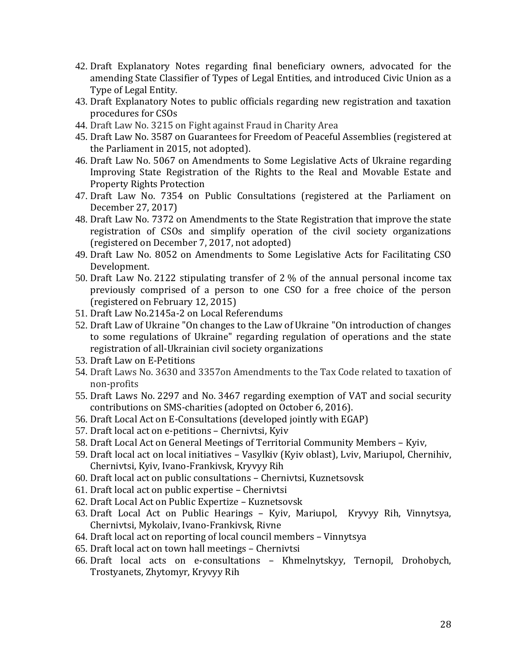- 42. Draft Explanatory Notes regarding final beneficiary owners, advocated for the amending State Classifier of Types of Legal Entities, and introduced Civic Union as a Type of Legal Entity.
- 43. Draft Explanatory Notes to public officials regarding new registration and taxation procedures for CSOs
- 44. Draft Law No. 3215 on Fight against Fraud in Charity Area
- 45. Draft Law No. 3587 on Guarantees for Freedom of Peaceful Assemblies (registered at the Parliament in 2015, not adopted).
- 46. Draft Law No. 5067 on Amendments to Some Legislative Acts of Ukraine regarding Improving State Registration of the Rights to the Real and Movable Estate and Property Rights Protection
- 47. Draft Law No. 7354 on Public Consultations (registered at the Parliament on December 27, 2017)
- 48. Draft Law No. 7372 on Amendments to the State Registration that improve the state registration of CSOs and simplify operation of the civil society organizations (registered on December 7, 2017, not adopted)
- 49. Draft Law No. 8052 on Amendments to Some Legislative Acts for Facilitating CSO Development.
- 50. Draft Law No. 2122 stipulating transfer of 2 % of the annual personal income tax previously comprised of a person to one CSO for a free choice of the person (registered on February 12, 2015)
- 51. Draft Law No.2145а-2 on Local Referendums
- <span id="page-28-0"></span>52. Draft Law of Ukraine "On changes to the Law of Ukraine "On introduction of changes to some regulations of Ukraine" regarding regulation of operations and the state registration of all-Ukrainian civil society organizations
- 53. Draft Law on E-Petitions
- 54. Draft Laws No. 3630 and 3357on Amendments to the Tax Code related to taxation of non-profits
- 55. Draft Laws No. 2297 and No. 3467 regarding exemption of VAT and social security contributions on SMS-charities (adopted on October 6, 2016).
- 56. Draft Local Act on E-Consultations (developed jointly with EGAP)
- 57. Draft local act on e-petitions Chernivtsi, Kyiv
- 58. Draft Local Act on General Meetings of Territorial Community Members Kyiv,
- 59. Draft local act on local initiatives Vasylkiv (Kyiv oblast), Lviv, Mariupol, Chernihiv, Chernivtsi, Kyiv, Ivano-Frankivsk, Kryvyy Rih
- 60. Draft local act on public consultations Chernivtsi, Kuznetsovsk
- 61. Draft local act on public expertise Chernivtsi
- 62. Draft Local Act on Public Expertize Kuznetsovsk
- 63. Draft Local Act on Public Hearings Kyiv, Mariupol, Kryvyy Rih, Vinnytsya, Chernivtsi, Mykolaiv, Ivano-Frankivsk, Rivne
- 64. Draft local act on reporting of local council members Vinnytsya
- 65. Draft local act on town hall meetings Chernivtsi
- 66. Draft local acts on e-consultations Khmelnytskyy, Ternopil, Drohobych, Trostyanets, Zhytomyr, Kryvyy Rih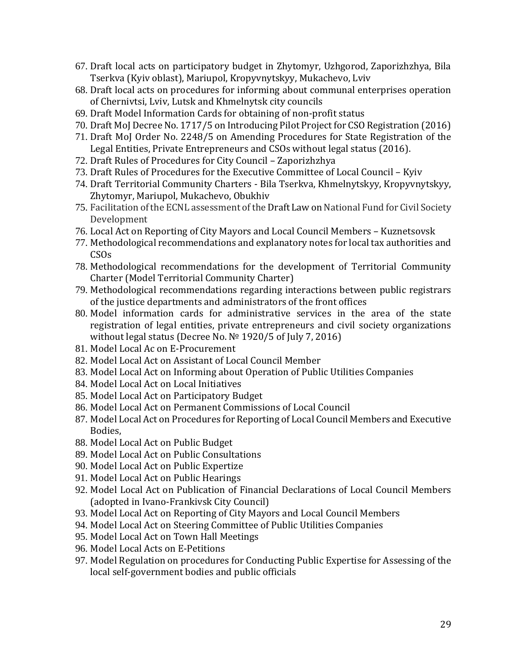- 67. Draft local acts on participatory budget in Zhytomyr, Uzhgorod, Zaporizhzhya, Bila Tserkva (Kyiv oblast), Mariupol, Kropyvnytskyy, Mukachevo, Lviv
- 68. Draft local acts on procedures for informing about communal enterprises operation of Chernivtsi, Lviv, Lutsk and Khmelnytsk city councils
- 69. Draft Model Information Cards for obtaining of non-profit status
- 70. Draft MoJ Decree No. 1717/5 on Introducing Pilot Project for CSO Registration (2016)
- 71. Draft MoJ Order No. 2248/5 on Amending Procedures for State Registration of the Legal Entities, Private Entrepreneurs and CSOs without legal status (2016).
- 72. Draft Rules of Procedures for City Council Zaporizhzhya
- 73. Draft Rules of Procedures for the Executive Committee of Local Council Kyiv
- 74. Draft Territorial Community Charters Bila Tserkva, Khmelnytskyy, Kropyvnytskyy, Zhytomyr, Mariupol, Mukachevo, Obukhiv
- 75. Facilitation of the ECNL assessment of the Draft Law on National Fund for Civil Society Development
- 76. Local Act on Reporting of City Mayors and Local Council Members Kuznetsovsk
- 77. Methodological recommendations and explanatory notes for local tax authorities and  $CSOS$
- 78. Methodological recommendations for the development of Territorial Community Charter (Model Territorial Community Charter)
- 79. Methodological recommendations regarding interactions between public registrars of the justice departments and administrators of the front offices
- 80. Model information cards for administrative services in the area of the state registration of legal entities, private entrepreneurs and civil society organizations without legal status (Decree No. № 1920/5 of July 7, 2016)
- 81. Model Local Ac on E-Procurement
- 82. Model Local Act on Assistant of Local Council Member
- 83. Model Local Act on Informing about Operation of Public Utilities Companies
- 84. Model Local Act on Local Initiatives
- 85. Model Local Act on Participatory Budget
- 86. Model Local Act on Permanent Commissions of Local Council
- 87. Model Local Act on Procedures for Reporting of Local Council Members and Executive Bodies,
- 88. Model Local Act on Public Budget
- 89. Model Local Act on Public Consultations
- 90. Model Local Act on Public Expertize
- 91. Model Local Act on Public Hearings
- 92. Model Local Act on Publication of Financial Declarations of Local Council Members (adopted in Ivano-Frankivsk City Council)
- 93. Model Local Act on Reporting of City Mayors and Local Council Members
- 94. Model Local Act on Steering Committee of Public Utilities Companies
- 95. Model Local Act on Town Hall Meetings
- 96. Model Local Acts on E-Petitions
- 97. Model Regulation on procedures for Conducting Public Expertise for Assessing of the local self-government bodies and public officials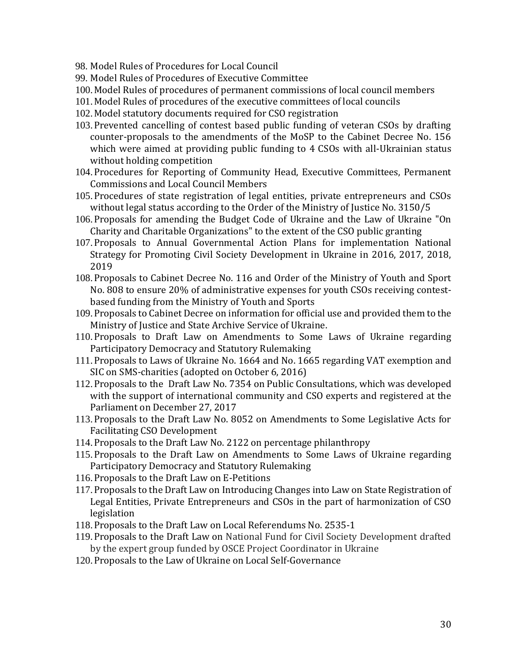- 98. Model Rules of Procedures for Local Council
- 99. Model Rules of Procedures of Executive Committee
- 100.Model Rules of procedures of permanent commissions of local council members
- 101.Model Rules of procedures of the executive committees of local councils
- 102.Model statutory documents required for CSO registration
- 103.Prevented cancelling of contest based public funding of veteran CSOs by drafting counter-proposals to the amendments of the MoSP to the Cabinet Decree No. 156 which were aimed at providing public funding to 4 CSOs with all-Ukrainian status without holding competition
- 104.Procedures for Reporting of Community Head, Executive Committees, Permanent Commissions and Local Council Members
- 105.Procedures of state registration of legal entities, private entrepreneurs and CSOs without legal status according to the Order of the Ministry of Justice No. 3150/5
- 106.Proposals for amending the Budget Code of Ukraine and the Law of Ukraine "On Charity and Charitable Organizations" to the extent of the CSO public granting
- 107.Proposals to Annual Governmental Action Plans for implementation National Strategy for Promoting Civil Society Development in Ukraine in 2016, 2017, 2018, 2019
- 108.Proposals to Cabinet Decree No. 116 and Order of the Ministry of Youth and Sport No. 808 to ensure 20% of administrative expenses for youth CSOs receiving contestbased funding from the Ministry of Youth and Sports
- 109.Proposals to Cabinet Decree on information for official use and provided them to the Ministry of Justice and State Archive Service of Ukraine.
- 110.Proposals to Draft Law on Amendments to Some Laws of Ukraine regarding Participatory Democracy and Statutory Rulemaking
- 111.Proposals to Laws of Ukraine No. 1664 and No. 1665 regarding VAT exemption and SIC on SMS-charities (adopted on October 6, 2016)
- 112.Proposals to the Draft Law No. 7354 on Public Consultations, which was developed with the support of international community and CSO experts and registered at the Parliament on December 27, 2017
- 113.Proposals to the Draft Law No. 8052 on Amendments to Some Legislative Acts for Facilitating CSO Development
- 114.Proposals to the Draft Law No. 2122 on percentage philanthropy
- 115.Proposals to the Draft Law on Amendments to Some Laws of Ukraine regarding Participatory Democracy and Statutory Rulemaking
- 116.Proposals to the Draft Law on E-Petitions
- 117.Proposals to the Draft Law on Introducing Changes into Law on State Registration of Legal Entities, Private Entrepreneurs and CSOs in the part of harmonization of CSO legislation
- 118.Proposals to the Draft Law on Local Referendums No. 2535-1
- 119.Proposals to the Draft Law on National Fund for Civil Society Development drafted by the expert group funded by OSCE Project Coordinator in Ukraine
- 120.Proposals to the Law of Ukraine on Local Self-Governance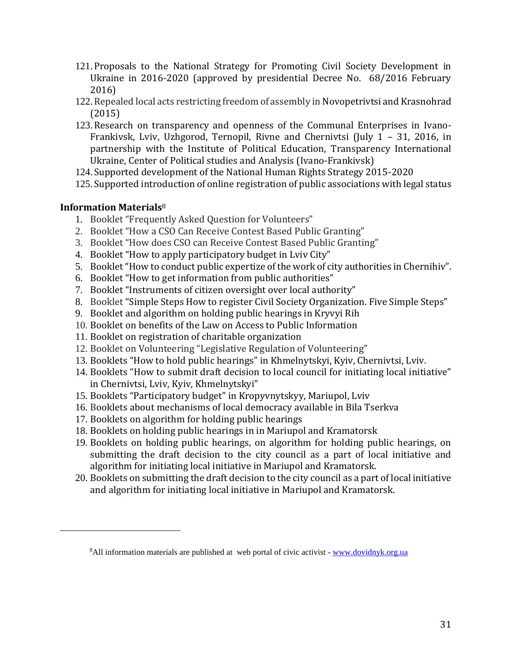- 121.Proposals to the National Strategy for Promoting Civil Society Development in Ukraine in 2016-2020 (approved by presidential Decree No. 68/2016 February 2016)
- 122.Repealed local acts restricting freedom of assembly in Novopetrivtsi and Krasnohrad (2015)
- 123.Research on transparency and openness of the Communal Enterprises in Ivano-Frankivsk, Lviv, Uzhgorod, Ternopil, Rivne and Chernivtsi (July 1 – 31, 2016, in partnership with the Institute of Political Education, Transparency International Ukraine, Center of Political studies and Analysis (Ivano-Frankivsk)
- 124.Supported development of the National Human Rights Strategy 2015-2020
- 125.Supported introduction of online registration of public associations with legal status

### **Information Materials**<sup>8</sup>

- 1. Booklet "Frequently Asked Question for Volunteers"
- 2. Booklet "How a CSO Can Receive Contest Based Public Granting"
- 3. Booklet "How does CSO can Receive Contest Based Public Granting"
- 4. Booklet "How to apply participatory budget in Lviv City"
- 5. Booklet "How to conduct public expertize of the work of city authorities in Chernihiv".
- 6. Booklet "How to get information from public authorities"
- 7. Booklet "Instruments of citizen oversight over local authority"
- 8. Booklet "Simple Steps How to register Civil Society Organization. Five Simple Steps"
- 9. Booklet and algorithm on holding public hearings in Kryvyi Rih
- 10. Booklet on benefits of the Law on Access to Public Information
- 11. Booklet on registration of charitable organization
- 12. Booklet on Volunteering "Legislative Regulation of Volunteering"
- 13. Booklets "How to hold public hearings" in Khmelnytskyi, Kyiv, Chernivtsi, Lviv.
- 14. Booklets "How to submit draft decision to local council for initiating local initiative" in Chernivtsi, Lviv, Kyiv, Khmelnytskyi"
- 15. Booklets "Participatory budget" in Kropyvnytskyy, Mariupol, Lviv
- 16. Booklets about mechanisms of local democracy available in Bila Tserkva
- 17. Booklets on algorithm for holding public hearings
- 18. Booklets on holding public hearings in in Mariupol and Kramatorsk
- 19. Booklets on holding public hearings, on algorithm for holding public hearings, on submitting the draft decision to the city council as a part of local initiative and algorithm for initiating local initiative in Mariupol and Kramatorsk.
- 20. Booklets on submitting the draft decision to the city council as a part of local initiative and algorithm for initiating local initiative in Mariupol and Kramatorsk.

<sup>&</sup>lt;sup>8</sup>All information materials are published at web portal of civic activist - [www.dovidnyk.org.ua](http://www.dovidnyk.org.ua/)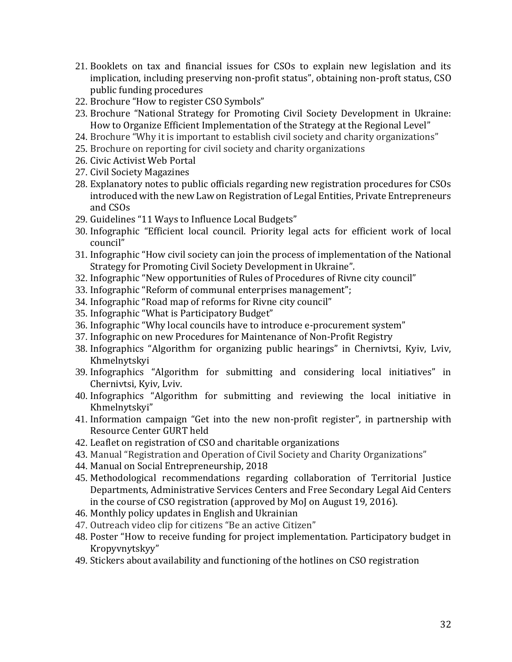- 21. Booklets on tax and financial issues for CSOs to explain new legislation and its implication, including preserving non-profit status", obtaining non-proft status, CSO public funding procedures
- 22. Brochure "How to register CSO Symbols"
- 23. Brochure "National Strategy for Promoting Civil Society Development in Ukraine: How to Organize Efficient Implementation of the Strategy at the Regional Level"
- 24. Brochure "Why it is important to establish civil society and charity organizations"
- 25. Brochure on reporting for civil society and charity organizations
- 26. Civic Activist Web Portal
- 27. Civil Society Magazines
- 28. Explanatory notes to public officials regarding new registration procedures for CSOs introduced with the new Law on Registration of Legal Entities, Private Entrepreneurs and CSOs
- 29. Guidelines "11 Ways to Influence Local Budgets"
- 30. Infographic "Efficient local council. Priority legal acts for efficient work of local council"
- 31. Infographic "How civil society can join the process of implementation of the National Strategy for Promoting Civil Society Development in Ukraine".
- 32. Infographic "New opportunities of Rules of Procedures of Rivne city council"
- 33. Infographic "Reform of communal enterprises management";
- 34. Infographic "Road map of reforms for Rivne city council"
- 35. Infographic "What is Participatory Budget"
- 36. Infographic "Why local councils have to introduce e-procurement system"
- 37. Infographic on new Procedures for Maintenance of Non-Profit Registry
- 38. Infographics "Algorithm for organizing public hearings" in Chernivtsi, Kyiv, Lviv, Khmelnytskyi
- 39. Infographics "Algorithm for submitting and considering local initiatives" in Chernivtsi, Kyiv, Lviv.
- 40. Infographics "Algorithm for submitting and reviewing the local initiative in Khmelnytskyi"
- 41. Information campaign "Get into the new non-profit register", in partnership with Resource Center GURT held
- 42. Leaflet on registration of CSO and charitable organizations
- 43. Manual "Registration and Operation of Civil Society and Charity Organizations"
- 44. Manual on Social Entrepreneurship, 2018
- 45. Methodological recommendations regarding collaboration of Territorial Justice Departments, Administrative Services Centers and Free Secondary Legal Aid Centers in the course of CSO registration (approved by MoJ on August 19, 2016).
- 46. Monthly policy updates in English and Ukrainian
- 47. Outreach video clip for citizens "Be an active Citizen"
- 48. Poster "How to receive funding for project implementation. Participatory budget in Kropyvnytskyy"
- 49. Stickers about availability and functioning of the hotlines on CSO registration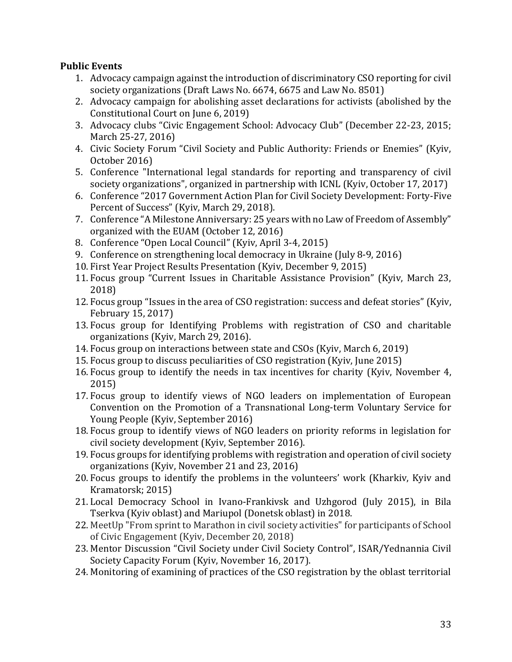## **Public Events**

- 1. Advocacy campaign against the introduction of discriminatory CSO reporting for civil society organizations (Draft Laws No. 6674, 6675 and Law No. 8501)
- 2. Advocacy campaign for abolishing asset declarations for activists (abolished by the Constitutional Court on June 6, 2019)
- 3. Advocacy clubs "Civic Engagement School: Advocacy Club" (December 22-23, 2015; March 25-27, 2016)
- 4. Civic Society Forum "Civil Society and Public Authority: Friends or Enemies" (Kyiv, October 2016)
- 5. Conference "International legal standards for reporting and transparency of civil society organizations", organized in partnership with ICNL (Kyiv, October 17, 2017)
- 6. Conference "2017 Government Action Plan for Civil Society Development: Forty-Five Percent of Success" (Kyiv, March 29, 2018).
- 7. Conference "A Milestone Anniversary: 25 years with no Law of Freedom of Assembly" organized with the EUAM (October 12, 2016)
- 8. Conference "Open Local Council" (Kyiv, April 3-4, 2015)
- 9. Conference on strengthening local democracy in Ukraine (July 8-9, 2016)
- 10. First Year Project Results Presentation (Kyiv, December 9, 2015)
- 11. Focus group "Current Issues in Charitable Assistance Provision" (Kyiv, March 23, 2018)
- 12. Focus group "Issues in the area of CSO registration: success and defeat stories" (Kyiv, February 15, 2017)
- 13. Focus group for Identifying Problems with registration of CSO and charitable organizations (Kyiv, March 29, 2016).
- 14. Focus group on interactions between state and CSOs (Kyiv, March 6, 2019)
- 15. Focus group to discuss peculiarities of CSO registration (Kyiv, June 2015)
- 16. Focus group to identify the needs in tax incentives for charity (Kyiv, November 4, 2015)
- 17. Focus group to identify views of NGO leaders on implementation of European Convention on the Promotion of a Transnational Long-term Voluntary Service for Young People (Kyiv, September 2016)
- 18. Focus group to identify views of NGO leaders on priority reforms in legislation for civil society development (Kyiv, September 2016).
- 19. Focus groups for identifying problems with registration and operation of civil society organizations (Kyiv, November 21 and 23, 2016)
- 20. Focus groups to identify the problems in the volunteers' work (Kharkiv, Kyiv and Kramatorsk; 2015)
- 21. Local Democracy School in Ivano-Frankivsk and Uzhgorod (July 2015), in Bila Tserkva (Kyiv oblast) and Mariupol (Donetsk oblast) in 2018.
- 22. MeetUp "From sprint to Marathon in civil society activities" for participants of School of Civic Engagement (Kyiv, December 20, 2018)
- 23. Mentor Discussion "Civil Society under Civil Society Control", ISAR/Yednannia Civil Society Capacity Forum (Kyiv, November 16, 2017).
- 24. Monitoring of examining of practices of the CSO registration by the oblast territorial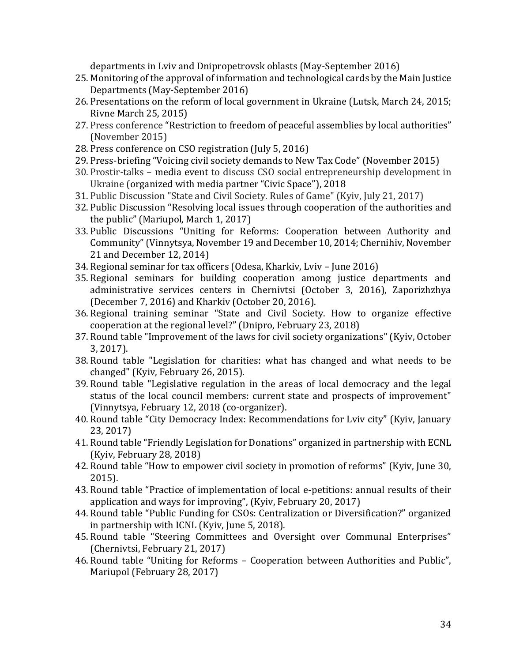departments in Lviv and Dnipropetrovsk oblasts (May-September 2016)

- 25. Monitoring of the approval of information and technological cards by the Main Justice Departments (May-September 2016)
- 26. Presentations on the reform of local government in Ukraine (Lutsk, March 24, 2015; Rivne March 25, 2015)
- 27. Press conference "Restriction to freedom of peaceful assemblies by local authorities" (November 2015)
- 28. Press conference on CSO registration (July 5, 2016)
- 29. Press-briefing "Voicing civil society demands to New Tax Code" (November 2015)
- 30. Prostir-talks media event to discuss CSO social entrepreneurship development in Ukraine (organized with media partner "Civic Space"), 2018
- 31. Public Discussion "State and Civil Society. Rules of Game" (Kyiv, July 21, 2017)
- 32. Public Discussion "Resolving local issues through cooperation of the authorities and the public" (Mariupol, March 1, 2017)
- 33. Public Discussions "Uniting for Reforms: Cooperation between Authority and Community" (Vinnytsya, November 19 and December 10, 2014; Chernihiv, November 21 and December 12, 2014)
- 34. Regional seminar for tax officers (Odesa, Kharkiv, Lviv June 2016)
- 35. Regional seminars for building cooperation among justice departments and administrative services centers in Chernivtsi (October 3, 2016), Zaporizhzhya (December 7, 2016) and Kharkiv (October 20, 2016).
- 36. Regional training seminar "State and Civil Society. How to organize effective cooperation at the regional level?" (Dnipro, February 23, 2018)
- 37. Round table "Improvement of the laws for civil society organizations" (Kyiv, October 3, 2017).
- 38. Round table "Legislation for charities: what has changed and what needs to be changed" (Kyiv, February 26, 2015).
- 39. Round table "Legislative regulation in the areas of local democracy and the legal status of the local council members: current state and prospects of improvement" (Vinnytsya, February 12, 2018 (co-organizer).
- 40. Round table "City Democracy Index: Recommendations for Lviv city" (Kyiv, January 23, 2017)
- 41. Round table "Friendly Legislation for Donations" organized in partnership with ECNL (Kyiv, February 28, 2018)
- 42. Round table "How to empower civil society in promotion of reforms" (Kyiv, June 30, 2015).
- 43. Round table "Practice of implementation of local e-petitions: annual results of their application and ways for improving", (Kyiv, February 20, 2017)
- 44. Round table "Public Funding for CSOs: Centralization or Diversification?" organized in partnership with ICNL (Kyiv, June 5, 2018).
- 45. Round table "Steering Committees and Oversight over Communal Enterprises" (Chernivtsi, February 21, 2017)
- 46. Round table "Uniting for Reforms Cooperation between Authorities and Public", Mariupol (February 28, 2017)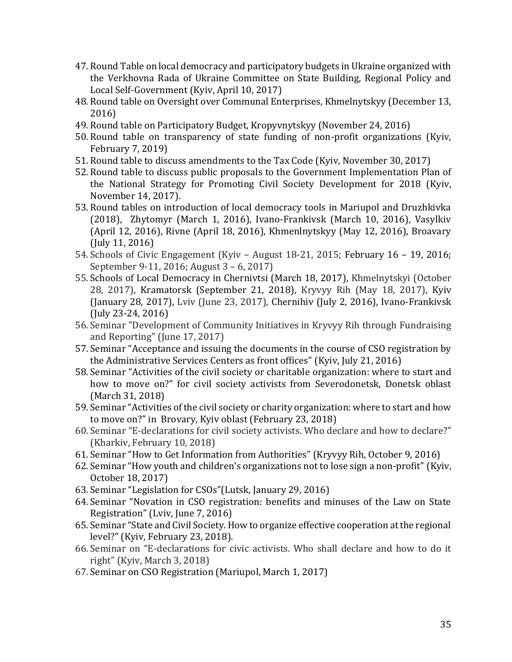- 47. Round Table on local democracy and participatory budgets in Ukraine organized with the Verkhovna Rada of Ukraine Committee on State Building, Regional Policy and Local Self-Government (Kyiv, April 10, 2017)
- 48. Round table on Oversight over Communal Enterprises, Khmelnytskyy (December 13, 2016)
- 49. Round table on Participatory Budget, Kropyvnytskyy (November 24, 2016)
- 50. Round table on transparency of state funding of non-profit organizations (Kyiv, February 7, 2019)
- 51. Round table to discuss amendments to the Tax Code (Kyiv, November 30, 2017)
- 52. Round table to discuss public proposals to the Government Implementation Plan of the National Strategy for Promoting Civil Society Development for 2018 (Kyiv, November 14, 2017).
- 53. Round tables on introduction of local democracy tools in Mariupol and Druzhkivka (2018), Zhytomyr (March 1, 2016), Ivano-Frankivsk (March 10, 2016), Vasylkiv (April 12, 2016), Rivne (April 18, 2016), Khmenlnytskyy (May 12, 2016), Broavary (July 11, 2016)
- 54. Schools of Civic Engagement (Kyiv August 18-21, 2015; February 16 19, 2016; September 9-11, 2016; August 3 – 6, 2017)
- 55. Schools of Local Democracy in Chernivtsi (March 18, 2017), Khmelnytskyi (October 28, 2017), Kramatorsk (September 21, 2018), Kryvyy Rih (May 18, 2017), Kyiv (January 28, 2017), Lviv (June 23, 2017), Chernihiv (July 2, 2016), Ivano-Frankivsk (July 23-24, 2016)
- 56. Seminar "Development of Community Initiatives in Kryvyy Rih through Fundraising and Reporting" (June 17, 2017)
- 57. Seminar "Acceptance and issuing the documents in the course of CSO registration by the Administrative Services Centers as front offices" (Kyiv, July 21, 2016)
- 58. Seminar "Activities of the civil society or charitable organization: where to start and how to move on?" for civil society activists from Severodonetsk, Donetsk oblast (March 31, 2018)
- 59. Seminar "Activities of the civil society or charity organization: where to start and how to move on?" in Brovary, Kyiv oblast (February 23, 2018)
- 60. Seminar "E-declarations for civil society activists. Who declare and how to declare?" (Kharkiv, February 10, 2018)
- 61. Seminar "How to Get Information from Authorities" (Kryvyy Rih, October 9, 2016)
- 62. Seminar "How youth and children's organizations not to lose sign a non-profit" (Kyiv, October 18, 2017)
- 63. Seminar "Legislation for CSOs"(Lutsk, January 29, 2016)
- 64. Seminar "Novation in CSO registration: benefits and minuses of the Law on State Registration" (Lviv, June 7, 2016)
- 65. Seminar "State and Civil Society. How to organize effective cooperation at the regional level?" (Kyiv, February 23, 2018).
- 66. Seminar on "E-declarations for civic activists. Who shall declare and how to do it right" (Kyiv, March 3, 2018)
- 67. Seminar on CSO Registration (Mariupol, March 1, 2017)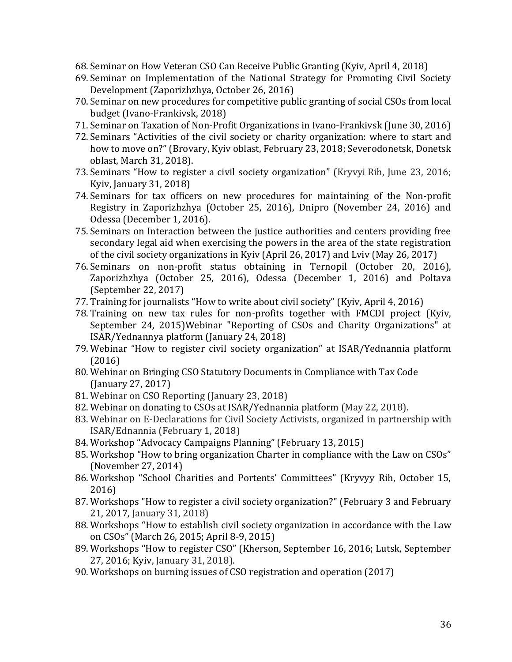- 68. Seminar on How Veteran CSO Can Receive Public Granting (Kyiv, April 4, 2018)
- 69. Seminar on Implementation of the National Strategy for Promoting Civil Society Development (Zaporizhzhya, October 26, 2016)
- 70. Seminar on new procedures for competitive public granting of social CSOs from local budget (Ivano-Frankivsk, 2018)
- 71. Seminar on Taxation of Non-Profit Organizations in Ivano-Frankivsk (June 30, 2016)
- 72. Seminars "Activities of the civil society or charity organization: where to start and how to move on?" (Brovary, Kyiv oblast, February 23, 2018; Severodonetsk, Donetsk oblast, March 31, 2018).
- 73. Seminars "How to register a civil society organization" (Kryvyi Rih, June 23, 2016; Kyiv, January 31, 2018)
- 74. Seminars for tax officers on new procedures for maintaining of the Non-profit Registry in Zaporizhzhya (October 25, 2016), Dnipro (November 24, 2016) and Odessa (December 1, 2016).
- 75. Seminars on Interaction between the justice authorities and centers providing free secondary legal aid when exercising the powers in the area of the state registration of the civil society organizations in Kyiv (April 26, 2017) and Lviv (May 26, 2017)
- 76. Seminars on non-profit status obtaining in Ternopil (October 20, 2016), Zaporizhzhya (October 25, 2016), Odessa (December 1, 2016) and Poltava (September 22, 2017)
- 77. Training for journalists "How to write about civil society" (Kyiv, April 4, 2016)
- 78. Training on new tax rules for non-profits together with FMCDI project (Kyiv, September 24, 2015)Webinar "Reporting of CSOs and Charity Organizations" at ISAR/Yednannya platform (January 24, 2018)
- 79. Webinar "How to register civil society organization" at ISAR/Yednannia platform (2016)
- 80. Webinar on Bringing CSO Statutory Documents in Compliance with Tax Code (January 27, 2017)
- 81. Webinar on CSO Reporting (January 23, 2018)
- 82. Webinar on donating to CSOs at ISAR/Yednannia platform (May 22, 2018).
- 83. Webinar on E-Declarations for Civil Society Activists, organized in partnership with ISAR/Ednannia (February 1, 2018)
- 84. Workshop "Advocacy Campaigns Planning" (February 13, 2015)
- 85. Workshop "How to bring organization Charter in compliance with the Law on CSOs" (November 27, 2014)
- 86. Workshop "School Charities and Portents' Committees" (Kryvyy Rih, October 15, 2016)
- 87. Workshops "How to register a civil society organization?" (February 3 and February 21, 2017, January 31, 2018)
- 88. Workshops "How to establish civil society organization in accordance with the Law on CSOs" (March 26, 2015; April 8-9, 2015)
- 89. Workshops "How to register CSO" (Kherson, September 16, 2016; Lutsk, September 27, 2016; Kyiv, January 31, 2018).
- 90. Workshops on burning issues of CSO registration and operation (2017)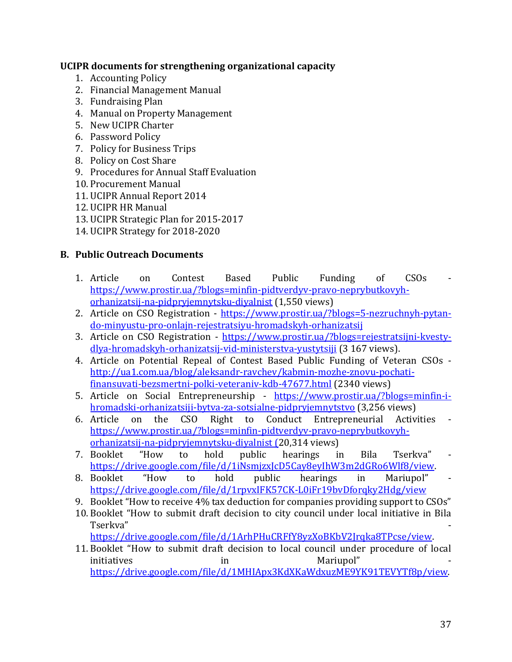#### **UCIPR documents for strengthening organizational capacity**

- 1. Accounting Policy
- 2. Financial Management Manual
- 3. Fundraising Plan
- 4. Manual on Property Management
- 5. New UCIPR Charter
- 6. Password Policy
- 7. Policy for Business Trips
- 8. Policy on Cost Share
- 9. Procedures for Annual Staff Evaluation
- 10. Procurement Manual
- 11. UCIPR Annual Report 2014
- 12. UCIPR HR Manual
- 13. UCIPR Strategic Plan for 2015-2017
- 14. UCIPR Strategy for 2018-2020

### **B. Public Outreach Documents**

- 1. Article on Contest Based Public Funding of CSOs [https://www.prostir.ua/?blogs=minfin-pidtverdyv-pravo-neprybutkovyh](https://www.prostir.ua/?blogs=minfin-pidtverdyv-pravo-neprybutkovyh-orhanizatsij-na-pidpryjemnytsku-diyalnist)[orhanizatsij-na-pidpryjemnytsku-diyalnist](https://www.prostir.ua/?blogs=minfin-pidtverdyv-pravo-neprybutkovyh-orhanizatsij-na-pidpryjemnytsku-diyalnist) (1,550 views)
- 2. Article on CSO Registration [https://www.prostir.ua/?blogs=5-nezruchnyh-pytan](https://www.prostir.ua/?blogs=5-nezruchnyh-pytan-do-minyustu-pro-onlajn-rejestratsiyu-hromadskyh-orhanizatsij)[do-minyustu-pro-onlajn-rejestratsiyu-hromadskyh-orhanizatsij](https://www.prostir.ua/?blogs=5-nezruchnyh-pytan-do-minyustu-pro-onlajn-rejestratsiyu-hromadskyh-orhanizatsij)
- 3. Article on CSO Registration [https://www.prostir.ua/?blogs=rejestratsijni-kvesty](https://www.prostir.ua/?blogs=rejestratsijni-kvesty-dlya-hromadskyh-orhanizatsij-vid-ministerstva-yustytsiji)[dlya-hromadskyh-orhanizatsij-vid-ministerstva-yustytsiji](https://www.prostir.ua/?blogs=rejestratsijni-kvesty-dlya-hromadskyh-orhanizatsij-vid-ministerstva-yustytsiji) (3 167 views).
- 4. Article on Potential Repeal of Contest Based Public Funding of Veteran CSOs [http://ua1.com.ua/blog/aleksandr-ravchev/kabmin-mozhe-znovu-pochati](http://ua1.com.ua/blog/aleksandr-ravchev/kabmin-mozhe-znovu-pochati-finansuvati-bezsmertni-polki-veteraniv-kdb-47677.html)[finansuvati-bezsmertni-polki-veteraniv-kdb-47677.html](http://ua1.com.ua/blog/aleksandr-ravchev/kabmin-mozhe-znovu-pochati-finansuvati-bezsmertni-polki-veteraniv-kdb-47677.html) (2340 views)
- 5. Article on Social Entrepreneurship [https://www.prostir.ua/?blogs=minfin-i](https://www.prostir.ua/?blogs=minfin-i-hromadski-orhanizatsiji-bytva-za-sotsialne-pidpryjemnytstvo)[hromadski-orhanizatsiji-bytva-za-sotsialne-pidpryjemnytstvo](https://www.prostir.ua/?blogs=minfin-i-hromadski-orhanizatsiji-bytva-za-sotsialne-pidpryjemnytstvo) (3,256 views)
- 6. Article on the CSO Right to Conduct Entrepreneurial Activities [https://www.prostir.ua/?blogs=minfin-pidtverdyv-pravo-neprybutkovyh](https://www.prostir.ua/?blogs=minfin-pidtverdyv-pravo-neprybutkovyh-orhanizatsij-na-pidpryjemnytsku-diyalnist)[orhanizatsij-na-pidpryjemnytsku-diyalnist](https://www.prostir.ua/?blogs=minfin-pidtverdyv-pravo-neprybutkovyh-orhanizatsij-na-pidpryjemnytsku-diyalnist) (20,314 views)
- 7. Booklet "How to hold public hearings in Bila Tserkva" [https://drive.google.com/file/d/1iNsmjzxJcD5Cay8eyIhW3m2dGRo6Wlf8/view.](https://drive.google.com/file/d/1iNsmjzxJcD5Cay8eyIhW3m2dGRo6Wlf8/view)
- 8. Booklet "How to hold public hearings in Mariupol" <https://drive.google.com/file/d/1rpvxIFK57CK-L0iFr19bvDforqky2Hdg/view>
- 9. Booklet "How to receive 4% tax deduction for companies providing support to CSOs"
- 10. Booklet "How to submit draft decision to city council under local initiative in Bila Tserkva" [https://drive.google.com/file/d/1ArhPHuCRFfY8yzXoBKbV2Jrqka8TPcse/view.](https://drive.google.com/file/d/1ArhPHuCRFfY8yzXoBKbV2Jrqka8TPcse/view)
- 11. Booklet "How to submit draft decision to local council under procedure of local initiatives in in Mariupol" [https://drive.google.com/file/d/1MHIApx3KdXKaWdxuzME9YK91TEVYTf8p/view.](https://drive.google.com/file/d/1MHIApx3KdXKaWdxuzME9YK91TEVYTf8p/view)